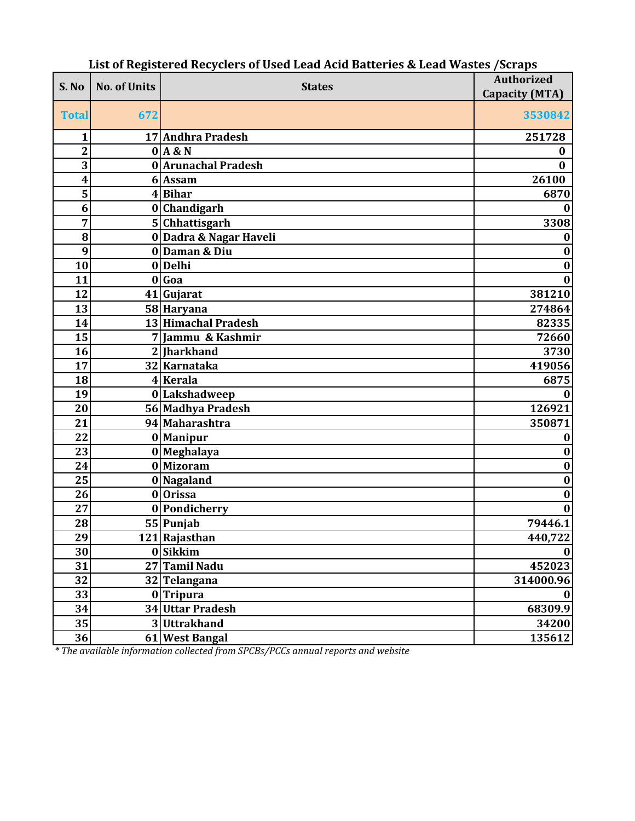| S. No          | <b>No. of Units</b> | <b>States</b>          | <b>Authorized</b>     |
|----------------|---------------------|------------------------|-----------------------|
|                |                     |                        | <b>Capacity (MTA)</b> |
| <b>Total</b>   | 672                 |                        | 3530842               |
| 1              |                     | 17 Andhra Pradesh      | 251728                |
| $\overline{c}$ |                     | $0$ $A$ &N             | 0                     |
| 3              |                     | 0 Arunachal Pradesh    | 0                     |
| 4              |                     | 6 Assam                | 26100                 |
| 5              |                     | $4 B$ ihar             | 6870                  |
| 6              |                     | 0 Chandigarh           | 0                     |
| 7              |                     | 5 Chhattisgarh         | 3308                  |
| 8              |                     | 0 Dadra & Nagar Haveli | 0                     |
| 9              |                     | 0Daman & Diu           | $\boldsymbol{0}$      |
| 10             |                     | 0Delhi                 | $\bf{0}$              |
| 11             |                     | $0 $ Goa               | $\bf{0}$              |
| 12             |                     | 41 Gujarat             | 381210                |
| 13             |                     | 58 Haryana             | 274864                |
| 14             |                     | 13 Himachal Pradesh    | 82335                 |
| 15             |                     | 7 Jammu & Kashmir      | 72660                 |
| 16             |                     | 2 Iharkhand            | 3730                  |
| 17             |                     | 32 Karnataka           | 419056                |
| 18             |                     | 4 Kerala               | 6875                  |
| 19             |                     | 0 Lakshadweep          | $\bf{0}$              |
| 20             |                     | 56 Madhya Pradesh      | 126921                |
| 21             |                     | 94 Maharashtra         | 350871                |
| 22             |                     | 0 Manipur              | 0                     |
| 23             |                     | 0 Meghalaya            | $\bf{0}$              |
| 24             |                     | 0 Mizoram              | $\bf{0}$              |
| 25             |                     | 0 Nagaland             | $\bf{0}$              |
| 26             |                     | 0 Orissa               | $\bf{0}$              |
| 27             |                     | 0 Pondicherry          | $\bf{0}$              |
| 28             |                     | 55 Punjab              | 79446.1               |
| 29             |                     | 121 Rajasthan          | 440,722               |
| 30             |                     | 0 Sikkim               | $\mathbf{0}$          |
| 31             |                     | 27 Tamil Nadu          | 452023                |
| 32             |                     | 32 Telangana           | 314000.96             |
| 33             |                     | $0$ Tripura            | $\mathbf{0}$          |
| 34             |                     | 34 Uttar Pradesh       | 68309.9               |
| 35             |                     | 3Uttrakhand            | 34200                 |
| 36             |                     | 61 West Bangal         | 135612                |

## **List of Registered Recyclers of Used Lead Acid Batteries & Lead Wastes /Scraps**

*\* The available information collected from SPCBs/PCCs annual reports and website*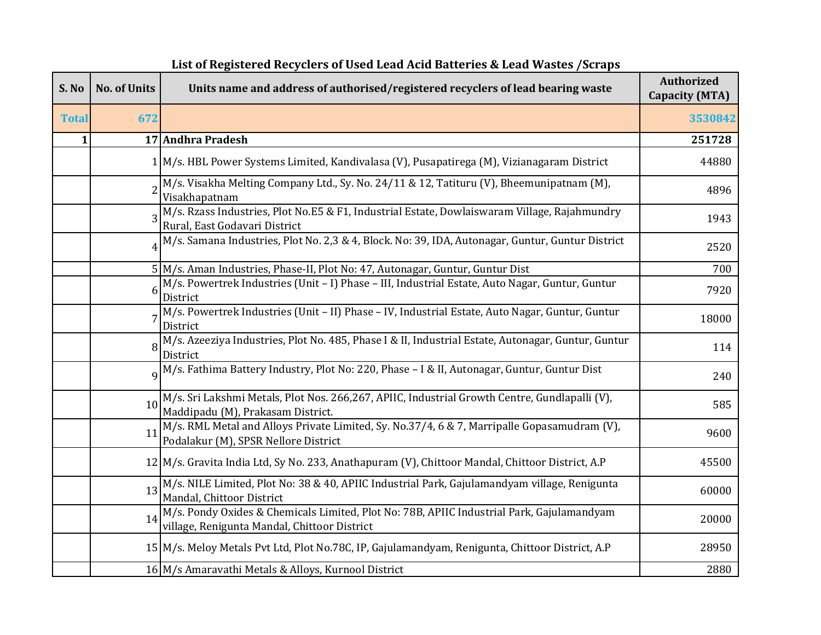| S. No        | <b>No. of Units</b> | Units name and address of authorised/registered recyclers of lead bearing waste                                                           | <b>Authorized</b><br><b>Capacity (MTA)</b> |
|--------------|---------------------|-------------------------------------------------------------------------------------------------------------------------------------------|--------------------------------------------|
| <b>Total</b> | 672                 |                                                                                                                                           | 3530842                                    |
| 1            |                     | 17 Andhra Pradesh                                                                                                                         | 251728                                     |
|              |                     | 1 M/s. HBL Power Systems Limited, Kandivalasa (V), Pusapatirega (M), Vizianagaram District                                                | 44880                                      |
|              |                     | M/s. Visakha Melting Company Ltd., Sy. No. 24/11 & 12, Tatituru (V), Bheemunipatnam (M),<br>Visakhapatnam                                 | 4896                                       |
|              |                     | M/s. Rzass Industries, Plot No.E5 & F1, Industrial Estate, Dowlaiswaram Village, Rajahmundry<br>Rural, East Godavari District             | 1943                                       |
|              |                     | M/s. Samana Industries, Plot No. 2,3 & 4, Block. No: 39, IDA, Autonagar, Guntur, Guntur District                                          | 2520                                       |
|              |                     | 5 M/s. Aman Industries, Phase-II, Plot No: 47, Autonagar, Guntur, Guntur Dist                                                             | 700                                        |
|              | 6                   | M/s. Powertrek Industries (Unit - I) Phase - III, Industrial Estate, Auto Nagar, Guntur, Guntur<br>District                               | 7920                                       |
|              |                     | M/s. Powertrek Industries (Unit - II) Phase - IV, Industrial Estate, Auto Nagar, Guntur, Guntur<br>District                               | 18000                                      |
|              |                     | M/s. Azeeziya Industries, Plot No. 485, Phase I & II, Industrial Estate, Autonagar, Guntur, Guntur<br>District                            | 114                                        |
|              |                     | 9 M/s. Fathima Battery Industry, Plot No: 220, Phase - I & II, Autonagar, Guntur, Guntur Dist                                             | 240                                        |
|              | 10                  | M/s. Sri Lakshmi Metals, Plot Nos. 266,267, APIIC, Industrial Growth Centre, Gundlapalli (V),<br>Maddipadu (M), Prakasam District.        | 585                                        |
|              | 11                  | M/s. RML Metal and Alloys Private Limited, Sy. No.37/4, 6 & 7, Marripalle Gopasamudram (V),<br>Podalakur (M), SPSR Nellore District       | 9600                                       |
|              |                     | 12 M/s. Gravita India Ltd, Sy No. 233, Anathapuram (V), Chittoor Mandal, Chittoor District, A.P                                           | 45500                                      |
|              | 13                  | M/s. NILE Limited, Plot No: 38 & 40, APIIC Industrial Park, Gajulamandyam village, Renigunta<br>Mandal, Chittoor District                 | 60000                                      |
|              | 14                  | M/s. Pondy Oxides & Chemicals Limited, Plot No: 78B, APIIC Industrial Park, Gajulamandyam<br>village, Renigunta Mandal, Chittoor District | 20000                                      |
|              |                     | 15 M/s. Meloy Metals Pvt Ltd, Plot No.78C, IP, Gajulamandyam, Renigunta, Chittoor District, A.P                                           | 28950                                      |
|              |                     | 16 M/s Amaravathi Metals & Alloys, Kurnool District                                                                                       | 2880                                       |

## **List of Registered Recyclers of Used Lead Acid Batteries & Lead Wastes /Scraps**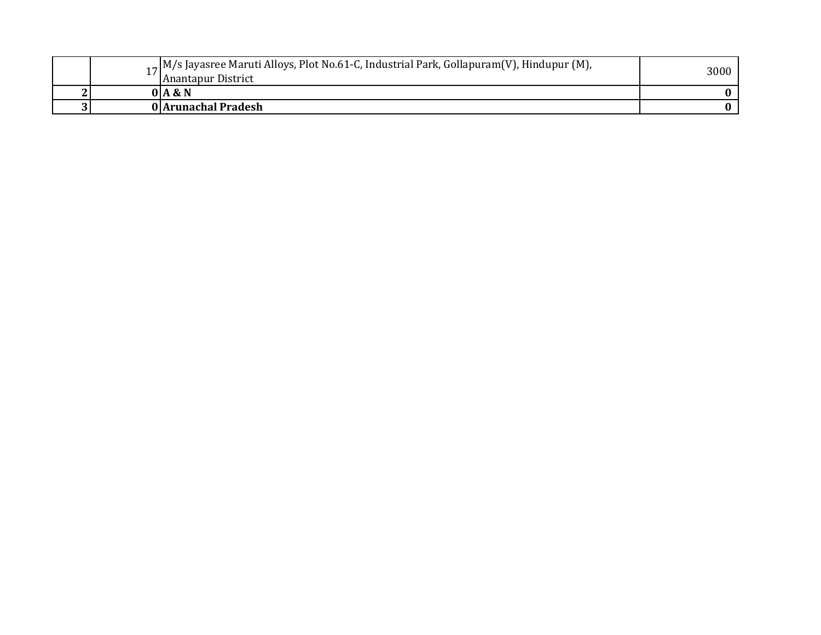| <b>.</b> | $\alpha$ , M/s Jayasree Maruti Alloys, Plot No.61-C, Industrial Park, Gollapuram(V), Hindupur (M),<br>Anantapur District | 3000 |
|----------|--------------------------------------------------------------------------------------------------------------------------|------|
|          | 0   A & N                                                                                                                |      |
|          | 0 Arunachal Pradesh                                                                                                      |      |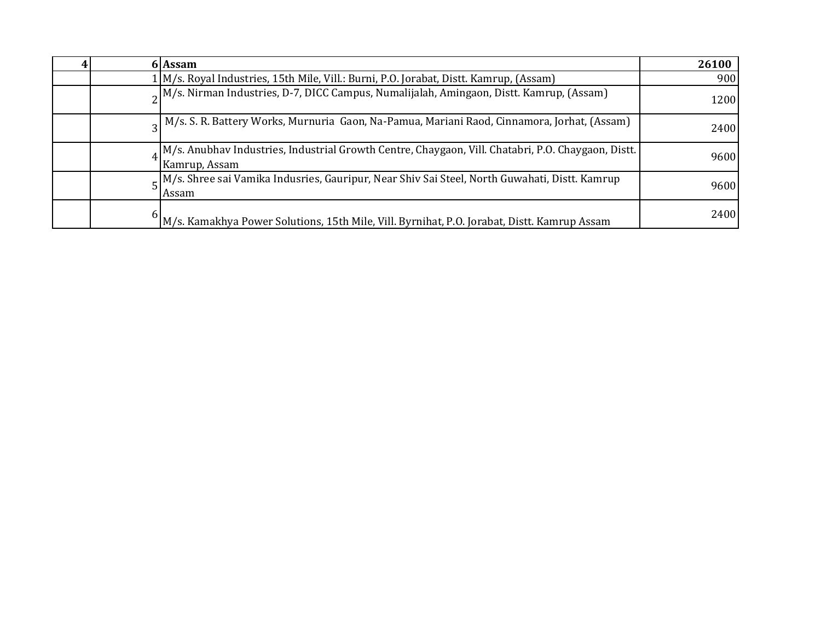|  | 6 Assam                                                                                                             | 26100 |
|--|---------------------------------------------------------------------------------------------------------------------|-------|
|  | 1 M/s. Royal Industries, 15th Mile, Vill.: Burni, P.O. Jorabat, Distt. Kamrup, (Assam)                              | 900   |
|  | $\alpha$ M/s. Nirman Industries, D-7, DICC Campus, Numalijalah, Amingaon, Distt. Kamrup, (Assam)                    | 1200  |
|  | $_{2}$ M/s. S. R. Battery Works, Murnuria Gaon, Na-Pamua, Mariani Raod, Cinnamora, Jorhat, (Assam)                  | 2400  |
|  | M/s. Anubhav Industries, Industrial Growth Centre, Chaygaon, Vill. Chatabri, P.O. Chaygaon, Distt.<br>Kamrup, Assam | 9600  |
|  | $\mathbf{K}$ M/s. Shree sai Vamika Indusries, Gauripur, Near Shiv Sai Steel, North Guwahati, Distt. Kamrup<br>Assam | 9600  |
|  | M/s. Kamakhya Power Solutions, 15th Mile, Vill. Byrnihat, P.O. Jorabat, Distt. Kamrup Assam                         | 2400  |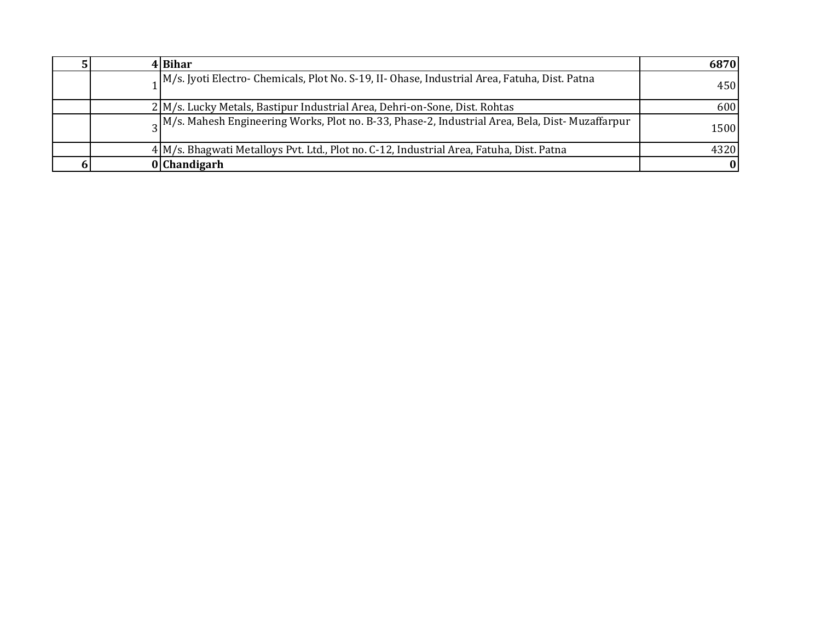|  | 4 Bihar                                                                                                  | 6870 |
|--|----------------------------------------------------------------------------------------------------------|------|
|  | 1 M/s. Jyoti Electro- Chemicals, Plot No. S-19, II- Ohase, Industrial Area, Fatuha, Dist. Patna          | 450  |
|  | 2 M/s. Lucky Metals, Bastipur Industrial Area, Dehri-on-Sone, Dist. Rohtas                               | 600  |
|  | $\alpha$ M/s. Mahesh Engineering Works, Plot no. B-33, Phase-2, Industrial Area, Bela, Dist- Muzaffarpur | 1500 |
|  | 4 M/s. Bhagwati Metalloys Pvt. Ltd., Plot no. C-12, Industrial Area, Fatuha, Dist. Patna                 | 4320 |
|  | 0 Chandigarh                                                                                             | 0    |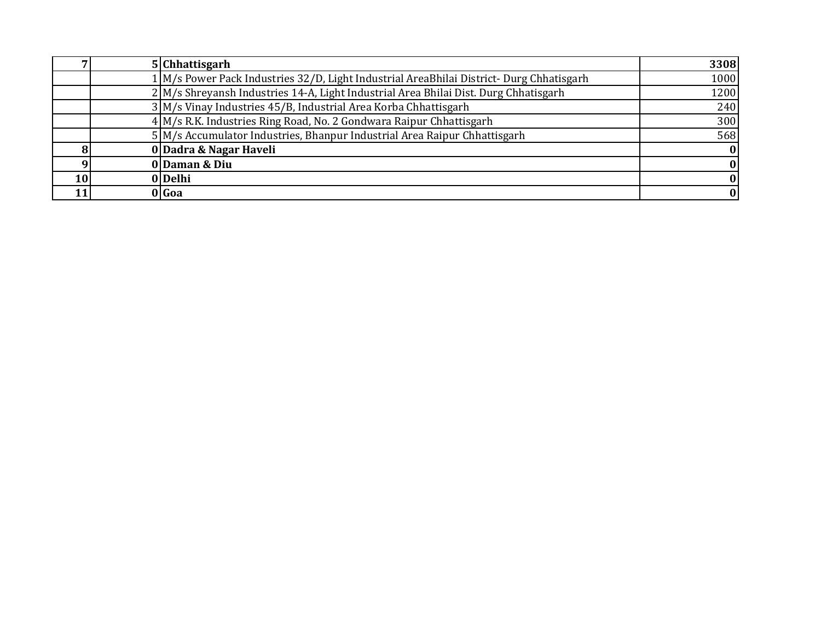|    | 5 Chhattisgarh                                                                          | 3308 |
|----|-----------------------------------------------------------------------------------------|------|
|    | 1 M/s Power Pack Industries 32/D, Light Industrial AreaBhilai District-Durg Chhatisgarh | 1000 |
|    | 2 M/s Shreyansh Industries 14-A, Light Industrial Area Bhilai Dist. Durg Chhatisgarh    | 1200 |
|    | 3 M/s Vinay Industries 45/B, Industrial Area Korba Chhattisgarh                         | 240  |
|    | 4 M/s R.K. Industries Ring Road, No. 2 Gondwara Raipur Chhattisgarh                     | 300  |
|    | 5 M/s Accumulator Industries, Bhanpur Industrial Area Raipur Chhattisgarh               | 568  |
|    | 0 Dadra & Nagar Haveli                                                                  |      |
|    | 0 Daman & Diu                                                                           |      |
| 10 | 0 Delhi                                                                                 |      |
|    | 0 Goa                                                                                   |      |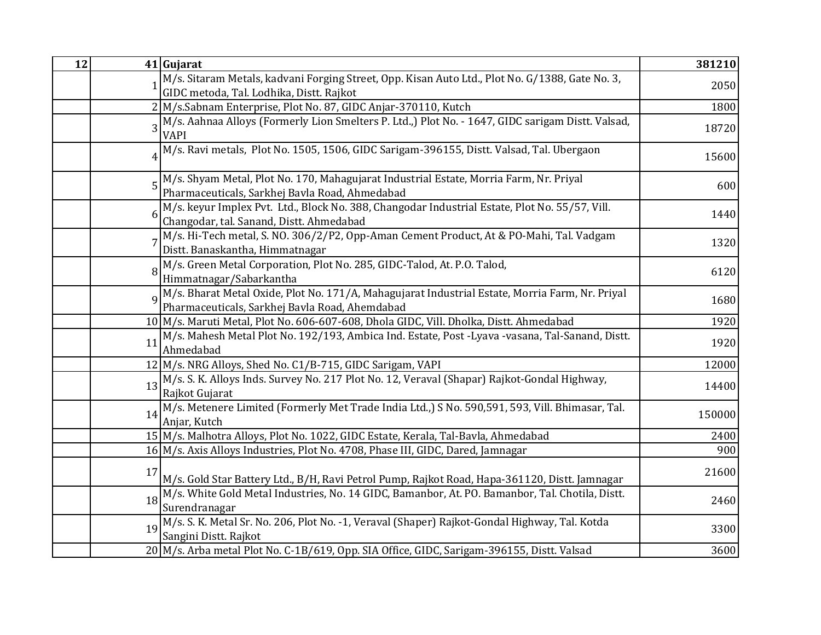| 12 |             | 41 Gujarat                                                                                                                                        | 381210 |
|----|-------------|---------------------------------------------------------------------------------------------------------------------------------------------------|--------|
|    |             | M/s. Sitaram Metals, kadvani Forging Street, Opp. Kisan Auto Ltd., Plot No. G/1388, Gate No. 3,<br>GIDC metoda, Tal. Lodhika, Distt. Rajkot       | 2050   |
|    |             | 2 M/s.Sabnam Enterprise, Plot No. 87, GIDC Anjar-370110, Kutch                                                                                    | 1800   |
|    |             | 3 M/s. Aahnaa Alloys (Formerly Lion Smelters P. Ltd.,) Plot No. - 1647, GIDC sarigam Distt. Valsad,<br><b>VAPI</b>                                | 18720  |
|    |             | M/s. Ravi metals, Plot No. 1505, 1506, GIDC Sarigam-396155, Distt. Valsad, Tal. Ubergaon                                                          | 15600  |
|    |             | M/s. Shyam Metal, Plot No. 170, Mahagujarat Industrial Estate, Morria Farm, Nr. Priyal<br>Pharmaceuticals, Sarkhej Bavla Road, Ahmedabad          | 600    |
|    |             | M/s. keyur Implex Pvt. Ltd., Block No. 388, Changodar Industrial Estate, Plot No. 55/57, Vill.<br>Changodar, tal. Sanand, Distt. Ahmedabad        | 1440   |
|    |             | M/s. Hi-Tech metal, S. NO. 306/2/P2, Opp-Aman Cement Product, At & PO-Mahi, Tal. Vadgam<br>Distt. Banaskantha, Himmatnagar                        | 1320   |
|    |             | M/s. Green Metal Corporation, Plot No. 285, GIDC-Talod, At. P.O. Talod,<br>Himmatnagar/Sabarkantha                                                | 6120   |
|    | $\mathbf Q$ | M/s. Bharat Metal Oxide, Plot No. 171/A, Mahagujarat Industrial Estate, Morria Farm, Nr. Priyal<br>Pharmaceuticals, Sarkhej Bavla Road, Ahemdabad | 1680   |
|    |             | 10 M/s. Maruti Metal, Plot No. 606-607-608, Dhola GIDC, Vill. Dholka, Distt. Ahmedabad                                                            | 1920   |
|    | 11          | M/s. Mahesh Metal Plot No. 192/193, Ambica Ind. Estate, Post -Lyava -vasana, Tal-Sanand, Distt.<br>Ahmedabad                                      | 1920   |
|    |             | 12 M/s. NRG Alloys, Shed No. C1/B-715, GIDC Sarigam, VAPI                                                                                         | 12000  |
|    | 13          | M/s. S. K. Alloys Inds. Survey No. 217 Plot No. 12, Veraval (Shapar) Rajkot-Gondal Highway,<br>Rajkot Gujarat                                     | 14400  |
|    |             | 14 M/s. Metenere Limited (Formerly Met Trade India Ltd.,) S No. 590,591, 593, Vill. Bhimasar, Tal.<br>Anjar, Kutch                                | 150000 |
|    |             | 15 M/s. Malhotra Alloys, Plot No. 1022, GIDC Estate, Kerala, Tal-Bavla, Ahmedabad                                                                 | 2400   |
|    |             | 16 M/s. Axis Alloys Industries, Plot No. 4708, Phase III, GIDC, Dared, Jamnagar                                                                   | 900    |
|    | 17          | M/s. Gold Star Battery Ltd., B/H, Ravi Petrol Pump, Rajkot Road, Hapa-361120, Distt. Jamnagar                                                     | 21600  |
|    | 18          | M/s. White Gold Metal Industries, No. 14 GIDC, Bamanbor, At. PO. Bamanbor, Tal. Chotila, Distt.<br>Surendranagar                                  | 2460   |
|    |             | 19 M/s. S. K. Metal Sr. No. 206, Plot No. -1, Veraval (Shaper) Rajkot-Gondal Highway, Tal. Kotda<br>Sangini Distt. Rajkot                         | 3300   |
|    |             | 20 M/s. Arba metal Plot No. C-1B/619, Opp. SIA Office, GIDC, Sarigam-396155, Distt. Valsad                                                        | 3600   |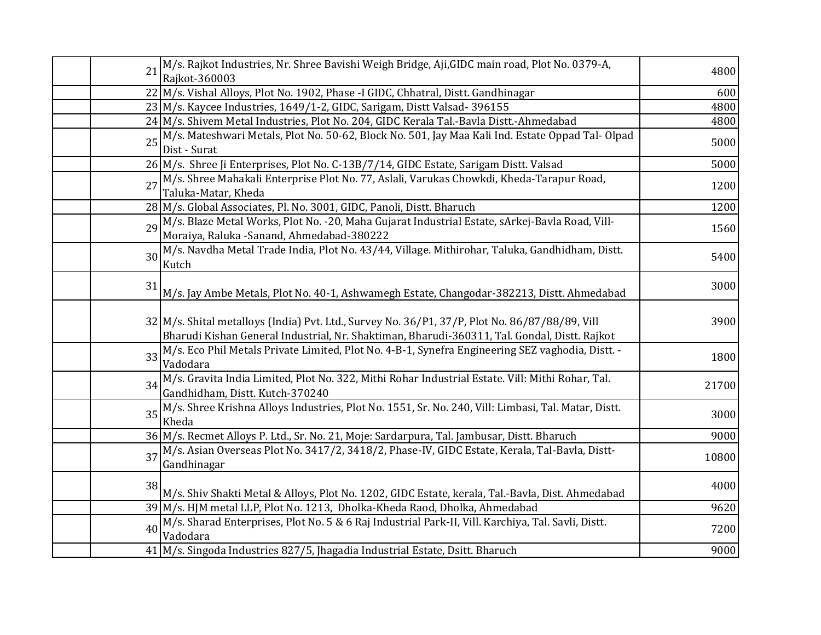| 21 | M/s. Rajkot Industries, Nr. Shree Bavishi Weigh Bridge, Aji,GIDC main road, Plot No. 0379-A,                                                                                                   | 4800  |
|----|------------------------------------------------------------------------------------------------------------------------------------------------------------------------------------------------|-------|
|    | Rajkot-360003                                                                                                                                                                                  |       |
|    | 22 M/s. Vishal Alloys, Plot No. 1902, Phase -I GIDC, Chhatral, Distt. Gandhinagar                                                                                                              | 600   |
|    | 23 M/s. Kaycee Industries, 1649/1-2, GIDC, Sarigam, Distt Valsad-396155                                                                                                                        | 4800  |
|    | 24 M/s. Shivem Metal Industries, Plot No. 204, GIDC Kerala Tal.-Bavla Distt.-Ahmedabad                                                                                                         | 4800  |
| 25 | M/s. Mateshwari Metals, Plot No. 50-62, Block No. 501, Jay Maa Kali Ind. Estate Oppad Tal- Olpad<br>Dist - Surat                                                                               | 5000  |
|    | 26 M/s. Shree Ji Enterprises, Plot No. C-13B/7/14, GIDC Estate, Sarigam Distt. Valsad                                                                                                          | 5000  |
| 27 | M/s. Shree Mahakali Enterprise Plot No. 77, Aslali, Varukas Chowkdi, Kheda-Tarapur Road,<br>Taluka-Matar, Kheda                                                                                | 1200  |
|    | 28 M/s. Global Associates, Pl. No. 3001, GIDC, Panoli, Distt. Bharuch                                                                                                                          | 1200  |
|    | 29 M/s. Blaze Metal Works, Plot No. - 20, Maha Gujarat Industrial Estate, sArkej-Bavla Road, Vill-<br>Moraiya, Raluka - Sanand, Ahmedabad-380222                                               | 1560  |
|    | 30 M/s. Navdha Metal Trade India, Plot No. 43/44, Village. Mithirohar, Taluka, Gandhidham, Distt.<br>Kutch                                                                                     | 5400  |
| 31 | M/s. Jay Ambe Metals, Plot No. 40-1, Ashwamegh Estate, Changodar-382213, Distt. Ahmedabad                                                                                                      | 3000  |
|    | 32 M/s. Shital metalloys (India) Pvt. Ltd., Survey No. 36/P1, 37/P, Plot No. 86/87/88/89, Vill<br>Bharudi Kishan General Industrial, Nr. Shaktiman, Bharudi-360311, Tal. Gondal, Distt. Rajkot | 3900  |
| 33 | M/s. Eco Phil Metals Private Limited, Plot No. 4-B-1, Synefra Engineering SEZ vaghodia, Distt. -<br>Vadodara                                                                                   | 1800  |
| 34 | M/s. Gravita India Limited, Plot No. 322, Mithi Rohar Industrial Estate. Vill: Mithi Rohar, Tal.<br>Gandhidham, Distt. Kutch-370240                                                            | 21700 |
| 35 | M/s. Shree Krishna Alloys Industries, Plot No. 1551, Sr. No. 240, Vill: Limbasi, Tal. Matar, Distt.<br>Kheda                                                                                   | 3000  |
|    | 36 M/s. Recmet Alloys P. Ltd., Sr. No. 21, Moje: Sardarpura, Tal. Jambusar, Distt. Bharuch                                                                                                     | 9000  |
| 37 | M/s. Asian Overseas Plot No. 3417/2, 3418/2, Phase-IV, GIDC Estate, Kerala, Tal-Bavla, Distt-<br>Gandhinagar                                                                                   | 10800 |
| 38 | M/s. Shiv Shakti Metal & Alloys, Plot No. 1202, GIDC Estate, kerala, Tal.-Bavla, Dist. Ahmedabad                                                                                               | 4000  |
|    | 39 M/s. HJM metal LLP, Plot No. 1213, Dholka-Kheda Raod, Dholka, Ahmedabad                                                                                                                     | 9620  |
| 40 | M/s. Sharad Enterprises, Plot No. 5 & 6 Raj Industrial Park-II, Vill. Karchiya, Tal. Savli, Distt.<br>Vadodara                                                                                 | 7200  |
|    | 41 M/s. Singoda Industries 827/5, Jhagadia Industrial Estate, Dsitt. Bharuch                                                                                                                   | 9000  |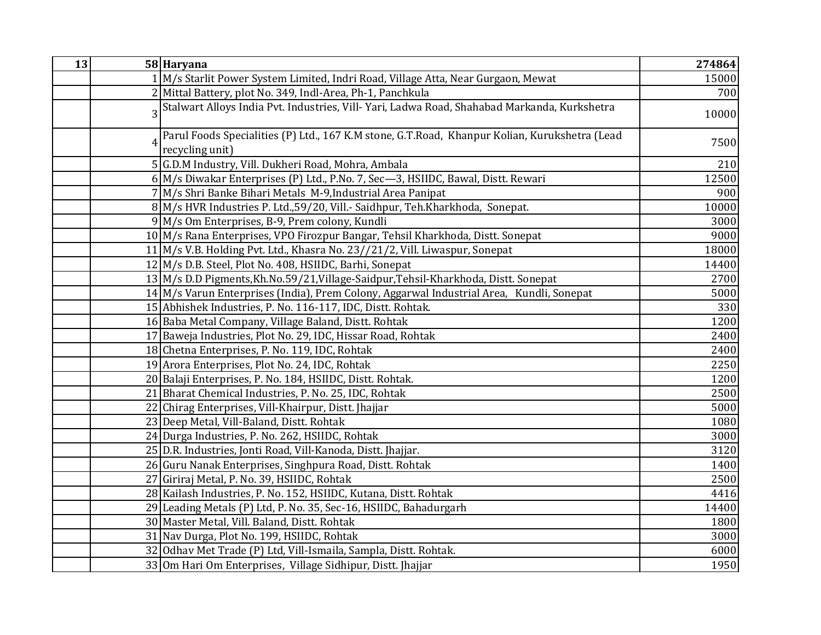| 13 | 58 Haryana                                                                                                       | 274864 |
|----|------------------------------------------------------------------------------------------------------------------|--------|
|    | 1 M/s Starlit Power System Limited, Indri Road, Village Atta, Near Gurgaon, Mewat                                | 15000  |
|    | 2 Mittal Battery, plot No. 349, Indl-Area, Ph-1, Panchkula                                                       | 700    |
|    | Stalwart Alloys India Pvt. Industries, Vill- Yari, Ladwa Road, Shahabad Markanda, Kurkshetra                     | 10000  |
|    | Parul Foods Specialities (P) Ltd., 167 K.M stone, G.T.Road, Khanpur Kolian, Kurukshetra (Lead<br>recycling unit) | 7500   |
|    | 5 G.D.M Industry, Vill. Dukheri Road, Mohra, Ambala                                                              | 210    |
|    | 6 M/s Diwakar Enterprises (P) Ltd., P.No. 7, Sec-3, HSIIDC, Bawal, Distt. Rewari                                 | 12500  |
|    | 7 M/s Shri Banke Bihari Metals M-9, Industrial Area Panipat                                                      | 900    |
|    | 8 M/s HVR Industries P. Ltd., 59/20, Vill.- Saidhpur, Teh.Kharkhoda, Sonepat.                                    | 10000  |
|    | 9 M/s Om Enterprises, B-9, Prem colony, Kundli                                                                   | 3000   |
|    | 10 M/s Rana Enterprises, VPO Firozpur Bangar, Tehsil Kharkhoda, Distt. Sonepat                                   | 9000   |
|    | 11 M/s V.B. Holding Pvt. Ltd., Khasra No. 23//21/2, Vill. Liwaspur, Sonepat                                      | 18000  |
|    | 12 M/s D.B. Steel, Plot No. 408, HSIIDC, Barhi, Sonepat                                                          | 14400  |
|    | 13 M/s D.D Pigments, Kh. No. 59/21, Village-Saidpur, Tehsil-Kharkhoda, Distt. Sonepat                            | 2700   |
|    | $14$ M/s Varun Enterprises (India), Prem Colony, Aggarwal Industrial Area, Kundli, Sonepat                       | 5000   |
|    | 15 Abhishek Industries, P. No. 116-117, IDC, Distt. Rohtak.                                                      | 330    |
|    | 16 Baba Metal Company, Village Baland, Distt. Rohtak                                                             | 1200   |
|    | 17 Baweja Industries, Plot No. 29, IDC, Hissar Road, Rohtak                                                      | 2400   |
|    | 18 Chetna Enterprises, P. No. 119, IDC, Rohtak                                                                   | 2400   |
|    | 19 Arora Enterprises, Plot No. 24, IDC, Rohtak                                                                   | 2250   |
|    | 20 Balaji Enterprises, P. No. 184, HSIIDC, Distt. Rohtak.                                                        | 1200   |
|    | 21 Bharat Chemical Industries, P. No. 25, IDC, Rohtak                                                            | 2500   |
|    | 22 Chirag Enterprises, Vill-Khairpur, Distt. Jhajjar                                                             | 5000   |
|    | 23 Deep Metal, Vill-Baland, Distt. Rohtak                                                                        | 1080   |
|    | 24 Durga Industries, P. No. 262, HSIIDC, Rohtak                                                                  | 3000   |
|    | 25 D.R. Industries, Jonti Road, Vill-Kanoda, Distt. Jhajjar.                                                     | 3120   |
|    | 26 Guru Nanak Enterprises, Singhpura Road, Distt. Rohtak                                                         | 1400   |
|    | 27 Giriraj Metal, P. No. 39, HSIIDC, Rohtak                                                                      | 2500   |
|    | 28 Kailash Industries, P. No. 152, HSIIDC, Kutana, Distt. Rohtak                                                 | 4416   |
|    | 29 Leading Metals (P) Ltd, P. No. 35, Sec-16, HSIIDC, Bahadurgarh                                                | 14400  |
|    | 30 Master Metal, Vill. Baland, Distt. Rohtak                                                                     | 1800   |
|    | 31 Nav Durga, Plot No. 199, HSIIDC, Rohtak                                                                       | 3000   |
|    | 32 Odhav Met Trade (P) Ltd, Vill-Ismaila, Sampla, Distt. Rohtak.                                                 | 6000   |
|    | 33 Om Hari Om Enterprises, Village Sidhipur, Distt. Jhajjar                                                      | 1950   |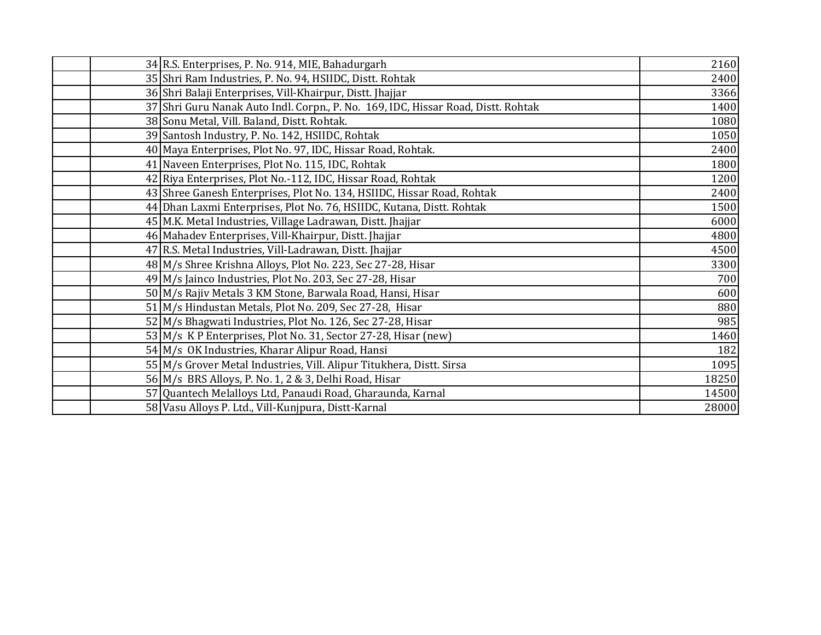| 34 R.S. Enterprises, P. No. 914, MIE, Bahadurgarh                                 | 2160  |
|-----------------------------------------------------------------------------------|-------|
| 35 Shri Ram Industries, P. No. 94, HSIIDC, Distt. Rohtak                          | 2400  |
| 36 Shri Balaji Enterprises, Vill-Khairpur, Distt. Jhajjar                         | 3366  |
| 37 Shri Guru Nanak Auto Indl. Corpn., P. No. 169, IDC, Hissar Road, Distt. Rohtak | 1400  |
| 38 Sonu Metal, Vill. Baland, Distt. Rohtak.                                       | 1080  |
| 39 Santosh Industry, P. No. 142, HSIIDC, Rohtak                                   | 1050  |
| 40 Maya Enterprises, Plot No. 97, IDC, Hissar Road, Rohtak.                       | 2400  |
| 41 Naveen Enterprises, Plot No. 115, IDC, Rohtak                                  | 1800  |
| 42 Riya Enterprises, Plot No.-112, IDC, Hissar Road, Rohtak                       | 1200  |
| 43 Shree Ganesh Enterprises, Plot No. 134, HSIIDC, Hissar Road, Rohtak            | 2400  |
| 44 Dhan Laxmi Enterprises, Plot No. 76, HSIIDC, Kutana, Distt. Rohtak             | 1500  |
| 45 M.K. Metal Industries, Village Ladrawan, Distt. Jhajjar                        | 6000  |
| 46 Mahadev Enterprises, Vill-Khairpur, Distt. Jhajjar                             | 4800  |
| 47 R.S. Metal Industries, Vill-Ladrawan, Distt. Jhajjar                           | 4500  |
| 48 M/s Shree Krishna Alloys, Plot No. 223, Sec 27-28, Hisar                       | 3300  |
| 49 M/s Jainco Industries, Plot No. 203, Sec 27-28, Hisar                          | 700   |
| 50 M/s Rajiv Metals 3 KM Stone, Barwala Road, Hansi, Hisar                        | 600   |
| 51 M/s Hindustan Metals, Plot No. 209, Sec 27-28, Hisar                           | 880   |
| 52 M/s Bhagwati Industries, Plot No. 126, Sec 27-28, Hisar                        | 985   |
| 53 M/s K P Enterprises, Plot No. 31, Sector 27-28, Hisar (new)                    | 1460  |
| 54 M/s OK Industries, Kharar Alipur Road, Hansi                                   | 182   |
| 55 M/s Grover Metal Industries, Vill. Alipur Titukhera, Distt. Sirsa              | 1095  |
| 56 M/s BRS Alloys, P. No. 1, 2 & 3, Delhi Road, Hisar                             | 18250 |
| 57 Quantech Melalloys Ltd, Panaudi Road, Gharaunda, Karnal                        | 14500 |
| 58 Vasu Alloys P. Ltd., Vill-Kunjpura, Distt-Karnal                               | 28000 |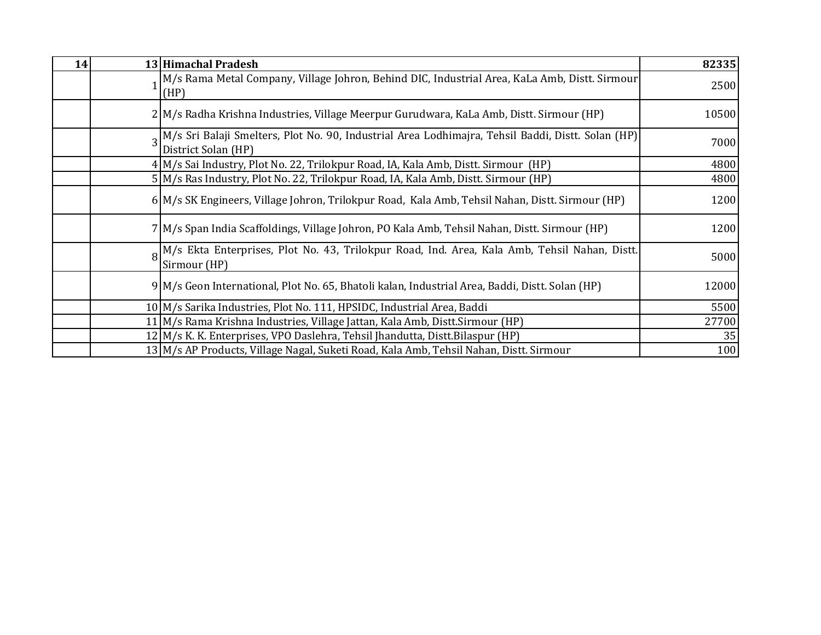| 14 | 13 Himachal Pradesh                                                                                                        | 82335 |
|----|----------------------------------------------------------------------------------------------------------------------------|-------|
|    | M/s Rama Metal Company, Village Johron, Behind DIC, Industrial Area, KaLa Amb, Distt. Sirmour<br>(HP)                      | 2500  |
|    | 2 M/s Radha Krishna Industries, Village Meerpur Gurudwara, KaLa Amb, Distt. Sirmour (HP)                                   | 10500 |
|    | 3 M/s Sri Balaji Smelters, Plot No. 90, Industrial Area Lodhimajra, Tehsil Baddi, Distt. Solan (HP)<br>District Solan (HP) | 7000  |
|    | 4 M/s Sai Industry, Plot No. 22, Trilokpur Road, IA, Kala Amb, Distt. Sirmour (HP)                                         | 4800  |
|    | 5 M/s Ras Industry, Plot No. 22, Trilokpur Road, IA, Kala Amb, Distt. Sirmour (HP)                                         | 4800  |
|    | 6 M/s SK Engineers, Village Johron, Trilokpur Road, Kala Amb, Tehsil Nahan, Distt. Sirmour (HP)                            | 1200  |
|    | 7 M/s Span India Scaffoldings, Village Johron, PO Kala Amb, Tehsil Nahan, Distt. Sirmour (HP)                              | 1200  |
|    | M/s Ekta Enterprises, Plot No. 43, Trilokpur Road, Ind. Area, Kala Amb, Tehsil Nahan, Distt.<br>Sirmour (HP)               | 5000  |
|    | 9 M/s Geon International, Plot No. 65, Bhatoli kalan, Industrial Area, Baddi, Distt. Solan (HP)                            | 12000 |
|    | 10 M/s Sarika Industries, Plot No. 111, HPSIDC, Industrial Area, Baddi                                                     | 5500  |
|    | 11 M/s Rama Krishna Industries, Village Jattan, Kala Amb, Distt. Sirmour (HP)                                              | 27700 |
|    | 12 M/s K. K. Enterprises, VPO Daslehra, Tehsil Jhandutta, Distt.Bilaspur (HP)                                              | 35    |
|    | 13 M/s AP Products, Village Nagal, Suketi Road, Kala Amb, Tehsil Nahan, Distt. Sirmour                                     | 100   |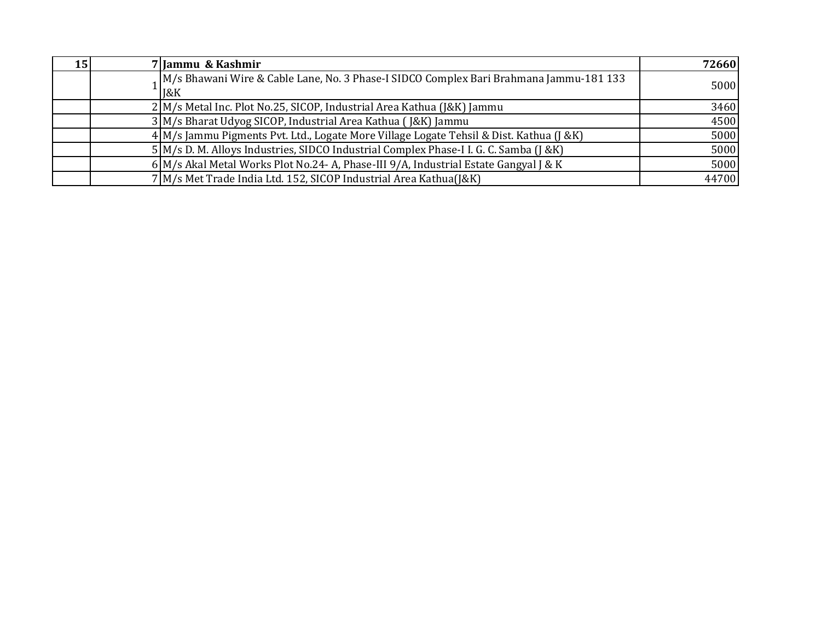| 15 I | 7 Jammu & Kashmir                                                                              | 72660 |
|------|------------------------------------------------------------------------------------------------|-------|
|      | 1M/s Bhawani Wire & Cable Lane, No. 3 Phase-I SIDCO Complex Bari Brahmana Jammu-181 133<br>18K | 5000  |
|      | 2 M/s Metal Inc. Plot No.25, SICOP, Industrial Area Kathua (J&K) Jammu                         | 3460  |
|      | 3 M/s Bharat Udyog SICOP, Industrial Area Kathua (J&K) Jammu                                   | 4500  |
|      | 4 M/s Jammu Pigments Pvt. Ltd., Logate More Village Logate Tehsil & Dist. Kathua (J & K)       | 5000  |
|      | 5 M/s D. M. Alloys Industries, SIDCO Industrial Complex Phase-I I. G. C. Samba (J &K)          | 5000  |
|      | $6$ M/s Akal Metal Works Plot No.24- A, Phase-III 9/A, Industrial Estate Gangyal J & K         | 5000  |
|      | 7 M/s Met Trade India Ltd. 152, SICOP Industrial Area Kathua(J&K)                              | 44700 |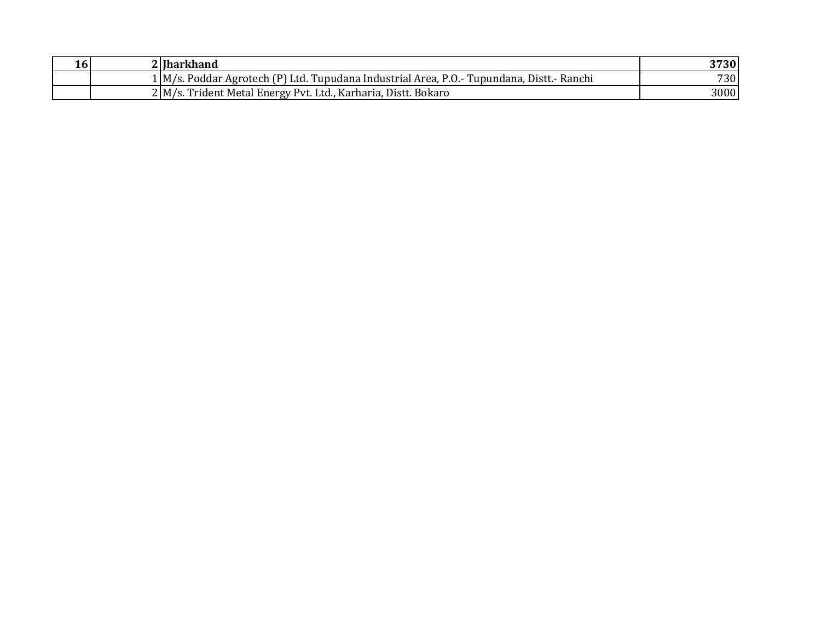| $10^{\circ}$ | 2 Iharkhand                                                                               | 3730       |
|--------------|-------------------------------------------------------------------------------------------|------------|
|              | 1 M/s. Poddar Agrotech (P) Ltd. Tupudana Industrial Area, P.O.- Tupundana, Distt.- Ranchi | <b>730</b> |
|              | 2 M/s. Trident Metal Energy Pvt. Ltd., Karharia, Distt. Bokaro                            | 3000       |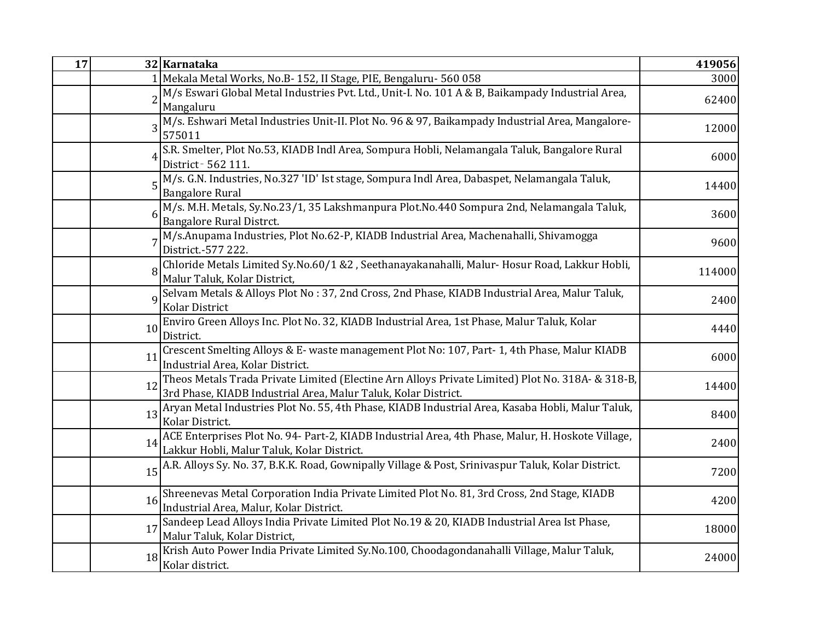| 17 |          | 32 Karnataka                                                                                                                                                       | 419056 |
|----|----------|--------------------------------------------------------------------------------------------------------------------------------------------------------------------|--------|
|    |          | 1 Mekala Metal Works, No.B- 152, II Stage, PIE, Bengaluru- 560 058                                                                                                 | 3000   |
|    |          | M/s Eswari Global Metal Industries Pvt. Ltd., Unit-I. No. 101 A & B, Baikampady Industrial Area,<br>Mangaluru                                                      | 62400  |
|    |          | M/s. Eshwari Metal Industries Unit-II. Plot No. 96 & 97, Baikampady Industrial Area, Mangalore-<br>575011                                                          | 12000  |
|    |          | S.R. Smelter, Plot No.53, KIADB Indl Area, Sompura Hobli, Nelamangala Taluk, Bangalore Rural<br>District - 562 111.                                                | 6000   |
|    |          | 5 M/s. G.N. Industries, No. 327 'ID' Ist stage, Sompura Indl Area, Dabaspet, Nelamangala Taluk,<br><b>Bangalore Rural</b>                                          | 14400  |
|    |          | M/s. M.H. Metals, Sy.No.23/1, 35 Lakshmanpura Plot.No.440 Sompura 2nd, Nelamangala Taluk,<br>Bangalore Rural Distrct.                                              | 3600   |
|    |          | M/s.Anupama Industries, Plot No.62-P, KIADB Industrial Area, Machenahalli, Shivamogga<br>District.-577 222.                                                        | 9600   |
|    |          | Chloride Metals Limited Sy.No.60/1 &2, Seethanayakanahalli, Malur-Hosur Road, Lakkur Hobli,<br>Malur Taluk, Kolar District,                                        | 114000 |
|    | $\Omega$ | Selvam Metals & Alloys Plot No: 37, 2nd Cross, 2nd Phase, KIADB Industrial Area, Malur Taluk,<br>Kolar District                                                    | 2400   |
|    | 10       | Enviro Green Alloys Inc. Plot No. 32, KIADB Industrial Area, 1st Phase, Malur Taluk, Kolar<br>District.                                                            | 4440   |
|    | 11       | Crescent Smelting Alloys & E- waste management Plot No: 107, Part-1, 4th Phase, Malur KIADB<br>Industrial Area, Kolar District.                                    | 6000   |
|    | 12       | Theos Metals Trada Private Limited (Electine Arn Alloys Private Limited) Plot No. 318A- & 318-B,<br>3rd Phase, KIADB Industrial Area, Malur Taluk, Kolar District. | 14400  |
|    | 13       | Aryan Metal Industries Plot No. 55, 4th Phase, KIADB Industrial Area, Kasaba Hobli, Malur Taluk,<br>Kolar District.                                                | 8400   |
|    | 14       | ACE Enterprises Plot No. 94- Part-2, KIADB Industrial Area, 4th Phase, Malur, H. Hoskote Village,<br>Lakkur Hobli, Malur Taluk, Kolar District.                    | 2400   |
|    | 15       | A.R. Alloys Sy. No. 37, B.K.K. Road, Gownipally Village & Post, Srinivaspur Taluk, Kolar District.                                                                 | 7200   |
|    | 16       | Shreenevas Metal Corporation India Private Limited Plot No. 81, 3rd Cross, 2nd Stage, KIADB<br>Industrial Area, Malur, Kolar District.                             | 4200   |
|    | 17       | $\sqrt{\frac{1}{2}}$ Sandeep Lead Alloys India Private Limited Plot No.19 & 20, KIADB Industrial Area Ist Phase,<br>Malur Taluk, Kolar District,                   | 18000  |
|    | 18       | Krish Auto Power India Private Limited Sy.No.100, Choodagondanahalli Village, Malur Taluk,<br>Kolar district.                                                      | 24000  |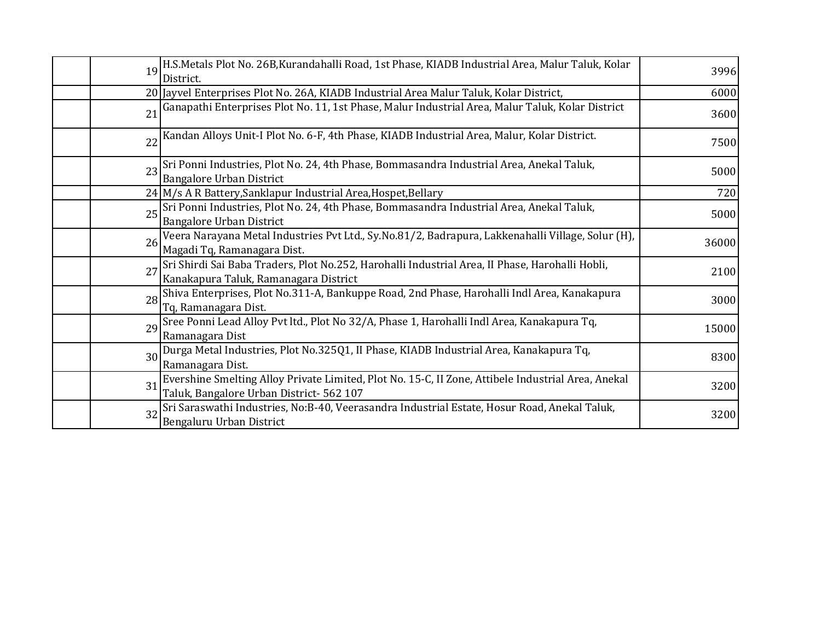|    | H.S.Metals Plot No. 26B, Kurandahalli Road, 1st Phase, KIADB Industrial Area, Malur Taluk, Kolar<br>19                                               | 3996  |
|----|------------------------------------------------------------------------------------------------------------------------------------------------------|-------|
|    | District.                                                                                                                                            |       |
|    | 20 Jayvel Enterprises Plot No. 26A, KIADB Industrial Area Malur Taluk, Kolar District,                                                               | 6000  |
|    | 21 Ganapathi Enterprises Plot No. 11, 1st Phase, Malur Industrial Area, Malur Taluk, Kolar District                                                  | 3600  |
|    | Kandan Alloys Unit-I Plot No. 6-F, 4th Phase, KIADB Industrial Area, Malur, Kolar District.<br>22                                                    | 7500  |
| 23 | Sri Ponni Industries, Plot No. 24, 4th Phase, Bommasandra Industrial Area, Anekal Taluk,<br><b>Bangalore Urban District</b>                          | 5000  |
|    | 24 M/s A R Battery, Sanklapur Industrial Area, Hospet, Bellary                                                                                       | 720   |
|    | Sri Ponni Industries, Plot No. 24, 4th Phase, Bommasandra Industrial Area, Anekal Taluk,<br>25<br><b>Bangalore Urban District</b>                    | 5000  |
|    | Veera Narayana Metal Industries Pvt Ltd., Sy.No.81/2, Badrapura, Lakkenahalli Village, Solur (H),<br>26<br>Magadi Tq, Ramanagara Dist.               | 36000 |
| 27 | Sri Shirdi Sai Baba Traders, Plot No.252, Harohalli Industrial Area, II Phase, Harohalli Hobli,<br>Kanakapura Taluk, Ramanagara District             | 2100  |
|    | Shiva Enterprises, Plot No.311-A, Bankuppe Road, 2nd Phase, Harohalli Indl Area, Kanakapura<br>28<br>Tq, Ramanagara Dist.                            | 3000  |
|    | Sree Ponni Lead Alloy Pvt ltd., Plot No 32/A, Phase 1, Harohalli Indl Area, Kanakapura Tq,<br>29<br>Ramanagara Dist                                  | 15000 |
|    | Durga Metal Industries, Plot No.325Q1, II Phase, KIADB Industrial Area, Kanakapura Tq,<br>30<br>Ramanagara Dist.                                     | 8300  |
|    | Evershine Smelting Alloy Private Limited, Plot No. 15-C, II Zone, Attibele Industrial Area, Anekal<br>31<br>Taluk, Bangalore Urban District- 562 107 | 3200  |
|    | Sri Saraswathi Industries, No:B-40, Veerasandra Industrial Estate, Hosur Road, Anekal Taluk,<br>32<br>Bengaluru Urban District                       | 3200  |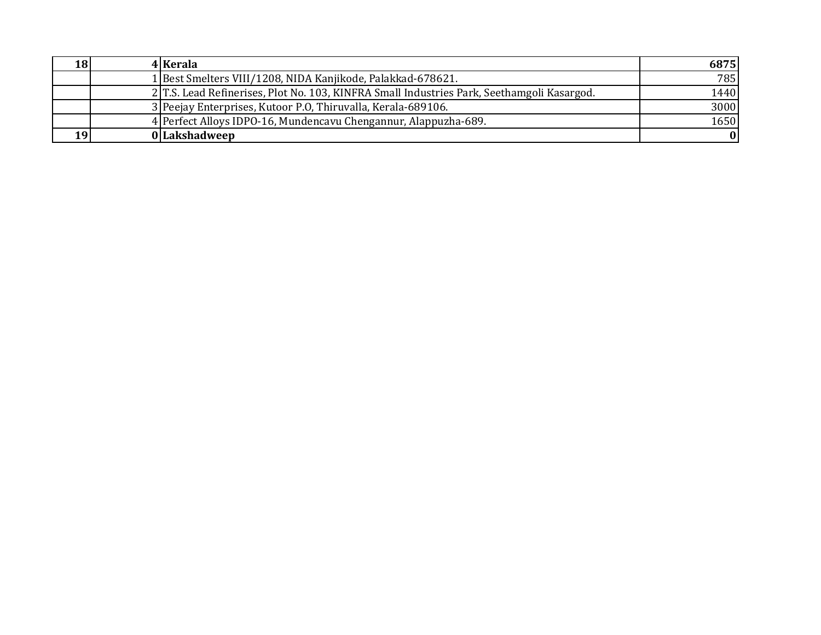| 18 | 4 Kerala                                                                                    | 6875             |
|----|---------------------------------------------------------------------------------------------|------------------|
|    | 1 Best Smelters VIII/1208, NIDA Kanjikode, Palakkad-678621.                                 | 785 <sup> </sup> |
|    | 2. T.S. Lead Refinerises, Plot No. 103, KINFRA Small Industries Park, Seethamgoli Kasargod. | 1440             |
|    | 3 Peejay Enterprises, Kutoor P.O. Thiruvalla, Kerala-689106.                                | 3000             |
|    | 4 Perfect Alloys IDPO-16, Mundencavu Chengannur, Alappuzha-689.                             | 1650             |
| 19 | 0 Lakshadweep                                                                               | 0                |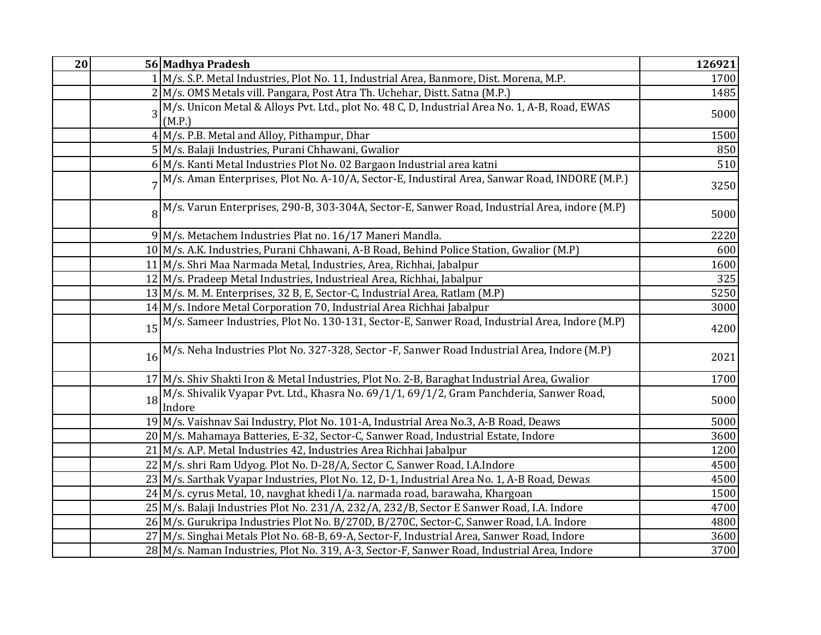| 20 |    | 56 Madhya Pradesh                                                                                           | 126921 |
|----|----|-------------------------------------------------------------------------------------------------------------|--------|
|    |    | 1 M/s. S.P. Metal Industries, Plot No. 11, Industrial Area, Banmore, Dist. Morena, M.P.                     | 1700   |
|    |    | 2 M/s. OMS Metals vill. Pangara, Post Atra Th. Uchehar, Distt. Satna (M.P.)                                 | 1485   |
|    | 3  | M/s. Unicon Metal & Alloys Pvt. Ltd., plot No. 48 C, D, Industrial Area No. 1, A-B, Road, EWAS              | 5000   |
|    |    | (M.P.)                                                                                                      |        |
|    |    | 4 M/s. P.B. Metal and Alloy, Pithampur, Dhar                                                                | 1500   |
|    |    | 5 M/s. Balaji Industries, Purani Chhawani, Gwalior                                                          | 850    |
|    |    | 6 M/s. Kanti Metal Industries Plot No. 02 Bargaon Industrial area katni                                     | 510    |
|    |    | 7 <sup>M</sup> /s. Aman Enterprises, Plot No. A-10/A, Sector-E, Industiral Area, Sanwar Road, INDORE (M.P.) | 3250   |
|    |    | 8 <sup>M</sup> /s. Varun Enterprises, 290-B, 303-304A, Sector-E, Sanwer Road, Industrial Area, indore (M.P) | 5000   |
|    |    | 9 M/s. Metachem Industries Plat no. 16/17 Maneri Mandla.                                                    | 2220   |
|    |    | 10 M/s. A.K. Industries, Purani Chhawani, A-B Road, Behind Police Station, Gwalior (M.P)                    | 600    |
|    |    | 11 M/s. Shri Maa Narmada Metal, Industries, Area, Richhai, Jabalpur                                         | 1600   |
|    |    | 12 M/s. Pradeep Metal Industries, Industrieal Area, Richhai, Jabalpur                                       | 325    |
|    |    | 13 M/s. M. M. Enterprises, 32 B, E, Sector-C, Industrial Area, Ratlam (M.P)                                 | 5250   |
|    |    | 14 M/s. Indore Metal Corporation 70, Industrial Area Richhai Jabalpur                                       | 3000   |
|    | 15 | M/s. Sameer Industries, Plot No. 130-131, Sector-E, Sanwer Road, Industrial Area, Indore (M.P)              | 4200   |
|    | 16 | M/s. Neha Industries Plot No. 327-328, Sector -F, Sanwer Road Industrial Area, Indore (M.P)                 | 2021   |
|    |    | 17 M/s. Shiv Shakti Iron & Metal Industries, Plot No. 2-B, Baraghat Industrial Area, Gwalior                | 1700   |
|    |    | 18 M/s. Shivalik Vyapar Pvt. Ltd., Khasra No. 69/1/1, 69/1/2, Gram Panchderia, Sanwer Road,<br>Indore       | 5000   |
|    |    | 19 M/s. Vaishnav Sai Industry, Plot No. 101-A, Industrial Area No.3, A-B Road, Deaws                        | 5000   |
|    |    | 20 M/s. Mahamaya Batteries, E-32, Sector-C, Sanwer Road, Industrial Estate, Indore                          | 3600   |
|    |    | 21 M/s. A.P. Metal Industries 42, Industries Area Richhai Jabalpur                                          | 1200   |
|    |    | 22 M/s. shri Ram Udyog. Plot No. D-28/A, Sector C, Sanwer Road, I.A.Indore                                  | 4500   |
|    |    | 23 M/s. Sarthak Vyapar Industries, Plot No. 12, D-1, Industrial Area No. 1, A-B Road, Dewas                 | 4500   |
|    |    | 24 M/s. cyrus Metal, 10, navghat khedi I/a. narmada road, barawaha, Khargoan                                | 1500   |
|    |    | 25 M/s. Balaji Industries Plot No. 231/A, 232/A, 232/B, Sector E Sanwer Road, I.A. Indore                   | 4700   |
|    |    | 26 M/s. Gurukripa Industries Plot No. B/270D, B/270C, Sector-C, Sanwer Road, I.A. Indore                    | 4800   |
|    |    | 27 M/s. Singhai Metals Plot No. 68-B, 69-A, Sector-F, Industrial Area, Sanwer Road, Indore                  | 3600   |
|    |    | 28 M/s. Naman Industries, Plot No. 319, A-3, Sector-F, Sanwer Road, Industrial Area, Indore                 | 3700   |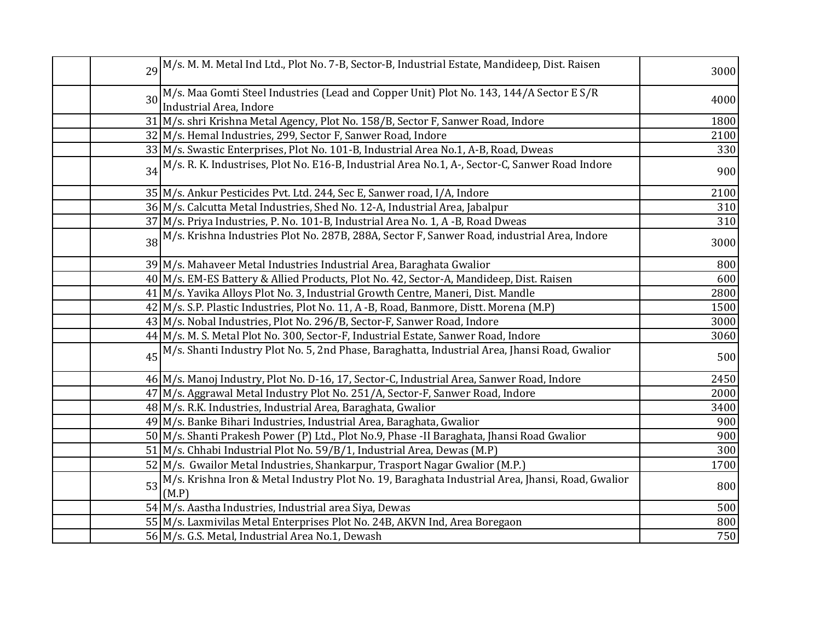|    | 29 M/s. M. M. Metal Ind Ltd., Plot No. 7-B, Sector-B, Industrial Estate, Mandideep, Dist. Raisen             | 3000 |
|----|--------------------------------------------------------------------------------------------------------------|------|
|    | 30 M/s. Maa Gomti Steel Industries (Lead and Copper Unit) Plot No. 143, 144/A Sector E S/R                   | 4000 |
|    | Industrial Area, Indore                                                                                      |      |
|    | 31 M/s. shri Krishna Metal Agency, Plot No. 158/B, Sector F, Sanwer Road, Indore                             | 1800 |
|    | 32 M/s. Hemal Industries, 299, Sector F, Sanwer Road, Indore                                                 | 2100 |
|    | 33 M/s. Swastic Enterprises, Plot No. 101-B, Industrial Area No.1, A-B, Road, Dweas                          | 330  |
| 34 | M/s. R. K. Industrises, Plot No. E16-B, Industrial Area No.1, A-, Sector-C, Sanwer Road Indore               | 900  |
|    | 35 M/s. Ankur Pesticides Pvt. Ltd. 244, Sec E, Sanwer road, I/A, Indore                                      | 2100 |
|    | 36 M/s. Calcutta Metal Industries, Shed No. 12-A, Industrial Area, Jabalpur                                  | 310  |
|    | 37 M/s. Priya Industries, P. No. 101-B, Industrial Area No. 1, A -B, Road Dweas                              | 310  |
|    | 38 M/s. Krishna Industries Plot No. 287B, 288A, Sector F, Sanwer Road, industrial Area, Indore               | 3000 |
|    | 39 M/s. Mahaveer Metal Industries Industrial Area, Baraghata Gwalior                                         | 800  |
|    | 40 M/s. EM-ES Battery & Allied Products, Plot No. 42, Sector-A, Mandideep, Dist. Raisen                      | 600  |
|    | 41 M/s. Yavika Alloys Plot No. 3, Industrial Growth Centre, Maneri, Dist. Mandle                             | 2800 |
|    | 42 M/s. S.P. Plastic Industries, Plot No. 11, A -B, Road, Banmore, Distt. Morena (M.P)                       | 1500 |
|    | 43 M/s. Nobal Industries, Plot No. 296/B, Sector-F, Sanwer Road, Indore                                      | 3000 |
|    | 44 M/s. M. S. Metal Plot No. 300, Sector-F, Industrial Estate, Sanwer Road, Indore                           | 3060 |
|    | 45 M/s. Shanti Industry Plot No. 5, 2nd Phase, Baraghatta, Industrial Area, Jhansi Road, Gwalior             | 500  |
|    | 46 M/s. Manoj Industry, Plot No. D-16, 17, Sector-C, Industrial Area, Sanwer Road, Indore                    | 2450 |
|    | 47 M/s. Aggrawal Metal Industry Plot No. 251/A, Sector-F, Sanwer Road, Indore                                | 2000 |
|    | 48 M/s. R.K. Industries, Industrial Area, Baraghata, Gwalior                                                 | 3400 |
|    | 49 M/s. Banke Bihari Industries, Industrial Area, Baraghata, Gwalior                                         | 900  |
|    | 50 M/s. Shanti Prakesh Power (P) Ltd., Plot No.9, Phase -II Baraghata, Jhansi Road Gwalior                   | 900  |
|    | 51 M/s. Chhabi Industrial Plot No. 59/B/1, Industrial Area, Dewas (M.P)                                      | 300  |
|    | 52 M/s. Gwailor Metal Industries, Shankarpur, Trasport Nagar Gwalior (M.P.)                                  | 1700 |
|    | 53 M/s. Krishna Iron & Metal Industry Plot No. 19, Baraghata Industrial Area, Jhansi, Road, Gwalior<br>(M.P) | 800  |
|    | 54 M/s. Aastha Industries, Industrial area Siya, Dewas                                                       | 500  |
|    | 55 M/s. Laxmivilas Metal Enterprises Plot No. 24B, AKVN Ind, Area Boregaon                                   | 800  |
|    | 56 M/s. G.S. Metal, Industrial Area No.1, Dewash                                                             | 750  |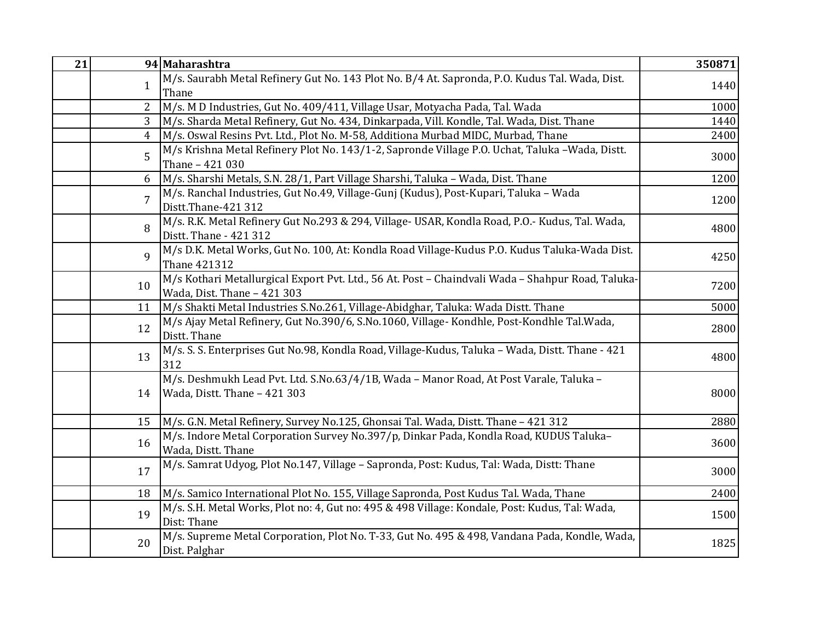| 21 |                | 94 Maharashtra                                                                                                                   | 350871 |
|----|----------------|----------------------------------------------------------------------------------------------------------------------------------|--------|
|    | $\mathbf{1}$   | M/s. Saurabh Metal Refinery Gut No. 143 Plot No. B/4 At. Sapronda, P.O. Kudus Tal. Wada, Dist.<br>Thane                          | 1440   |
|    | $\overline{2}$ | M/s. M D Industries, Gut No. 409/411, Village Usar, Motyacha Pada, Tal. Wada                                                     | 1000   |
|    | 3              | M/s. Sharda Metal Refinery, Gut No. 434, Dinkarpada, Vill. Kondle, Tal. Wada, Dist. Thane                                        | 1440   |
|    | 4              | M/s. Oswal Resins Pvt. Ltd., Plot No. M-58, Additiona Murbad MIDC, Murbad, Thane                                                 | 2400   |
|    | 5              | M/s Krishna Metal Refinery Plot No. 143/1-2, Sapronde Village P.O. Uchat, Taluka -Wada, Distt.<br>Thane - 421 030                | 3000   |
|    | 6              | M/s. Sharshi Metals, S.N. 28/1, Part Village Sharshi, Taluka - Wada, Dist. Thane                                                 | 1200   |
|    | $\overline{7}$ | M/s. Ranchal Industries, Gut No.49, Village-Gunj (Kudus), Post-Kupari, Taluka – Wada<br>Distt.Thane-421 312                      | 1200   |
|    | 8              | M/s. R.K. Metal Refinery Gut No.293 & 294, Village- USAR, Kondla Road, P.O.- Kudus, Tal. Wada,<br>Distt. Thane - 421 312         | 4800   |
|    | 9              | M/s D.K. Metal Works, Gut No. 100, At: Kondla Road Village-Kudus P.O. Kudus Taluka-Wada Dist.<br>Thane 421312                    | 4250   |
|    | 10             | M/s Kothari Metallurgical Export Pvt. Ltd., 56 At. Post - Chaindvali Wada - Shahpur Road, Taluka-<br>Wada, Dist. Thane - 421 303 | 7200   |
|    | 11             | M/s Shakti Metal Industries S.No.261, Village-Abidghar, Taluka: Wada Distt. Thane                                                | 5000   |
|    | 12             | M/s Ajay Metal Refinery, Gut No.390/6, S.No.1060, Village- Kondhle, Post-Kondhle Tal.Wada,<br>Distt. Thane                       | 2800   |
|    | 13             | M/s. S. S. Enterprises Gut No.98, Kondla Road, Village-Kudus, Taluka – Wada, Distt. Thane - 421<br>312                           | 4800   |
|    | 14             | M/s. Deshmukh Lead Pvt. Ltd. S.No.63/4/1B, Wada - Manor Road, At Post Varale, Taluka -<br>Wada, Distt. Thane - 421 303           | 8000   |
|    | 15             | M/s. G.N. Metal Refinery, Survey No.125, Ghonsai Tal. Wada, Distt. Thane - 421 312                                               | 2880   |
|    | 16             | M/s. Indore Metal Corporation Survey No.397/p, Dinkar Pada, Kondla Road, KUDUS Taluka-<br>Wada, Distt. Thane                     | 3600   |
|    | 17             | M/s. Samrat Udyog, Plot No.147, Village - Sapronda, Post: Kudus, Tal: Wada, Distt: Thane                                         | 3000   |
|    | 18             | M/s. Samico International Plot No. 155, Village Sapronda, Post Kudus Tal. Wada, Thane                                            | 2400   |
|    | 19             | M/s. S.H. Metal Works, Plot no: 4, Gut no: 495 & 498 Village: Kondale, Post: Kudus, Tal: Wada,<br>Dist: Thane                    | 1500   |
|    | 20             | M/s. Supreme Metal Corporation, Plot No. T-33, Gut No. 495 & 498, Vandana Pada, Kondle, Wada,<br>Dist. Palghar                   | 1825   |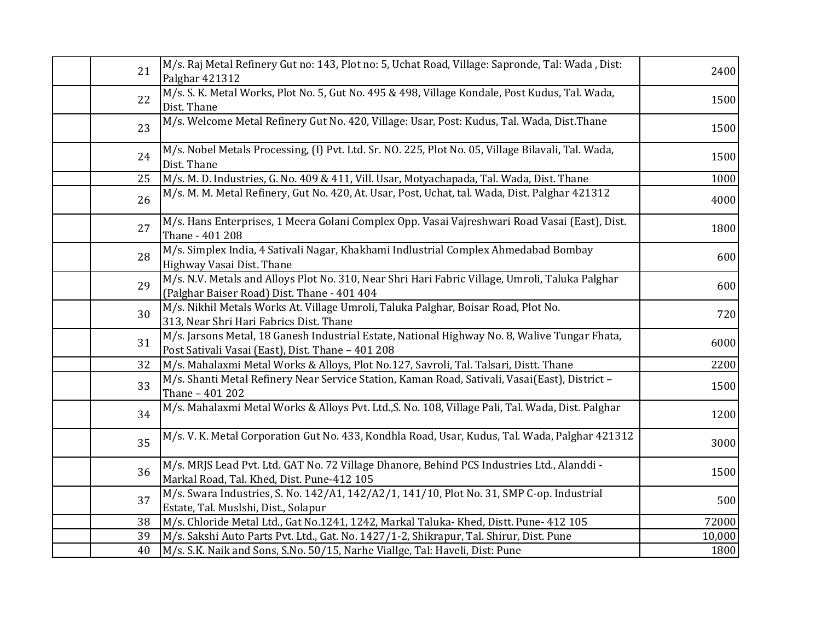| 21 | M/s. Raj Metal Refinery Gut no: 143, Plot no: 5, Uchat Road, Village: Sapronde, Tal: Wada, Dist:<br>Palghar 421312                                 | 2400   |
|----|----------------------------------------------------------------------------------------------------------------------------------------------------|--------|
| 22 | M/s. S. K. Metal Works, Plot No. 5, Gut No. 495 & 498, Village Kondale, Post Kudus, Tal. Wada,<br>Dist. Thane                                      | 1500   |
| 23 | M/s. Welcome Metal Refinery Gut No. 420, Village: Usar, Post: Kudus, Tal. Wada, Dist.Thane                                                         | 1500   |
| 24 | M/s. Nobel Metals Processing, (I) Pvt. Ltd. Sr. NO. 225, Plot No. 05, Village Bilavali, Tal. Wada,<br>Dist. Thane                                  | 1500   |
| 25 | M/s. M. D. Industries, G. No. 409 & 411, Vill. Usar, Motyachapada, Tal. Wada, Dist. Thane                                                          | 1000   |
| 26 | M/s. M. M. Metal Refinery, Gut No. 420, At. Usar, Post, Uchat, tal. Wada, Dist. Palghar 421312                                                     | 4000   |
| 27 | M/s. Hans Enterprises, 1 Meera Golani Complex Opp. Vasai Vajreshwari Road Vasai (East), Dist.<br>Thane - 401 208                                   | 1800   |
| 28 | M/s. Simplex India, 4 Sativali Nagar, Khakhami Indlustrial Complex Ahmedabad Bombay<br>Highway Vasai Dist. Thane                                   | 600    |
| 29 | M/s. N.V. Metals and Alloys Plot No. 310, Near Shri Hari Fabric Village, Umroli, Taluka Palghar<br>(Palghar Baiser Road) Dist. Thane - 401 404     | 600    |
| 30 | M/s. Nikhil Metals Works At. Village Umroli, Taluka Palghar, Boisar Road, Plot No.<br>313, Near Shri Hari Fabrics Dist. Thane                      | 720    |
| 31 | M/s. Jarsons Metal, 18 Ganesh Industrial Estate, National Highway No. 8, Walive Tungar Fhata,<br>Post Sativali Vasai (East), Dist. Thane - 401 208 | 6000   |
| 32 | M/s. Mahalaxmi Metal Works & Alloys, Plot No.127, Savroli, Tal. Talsari, Distt. Thane                                                              | 2200   |
| 33 | M/s. Shanti Metal Refinery Near Service Station, Kaman Road, Sativali, Vasai(East), District -<br>Thane - 401 202                                  | 1500   |
| 34 | M/s. Mahalaxmi Metal Works & Alloys Pvt. Ltd., S. No. 108, Village Pali, Tal. Wada, Dist. Palghar                                                  | 1200   |
| 35 | M/s. V. K. Metal Corporation Gut No. 433, Kondhla Road, Usar, Kudus, Tal. Wada, Palghar 421312                                                     | 3000   |
| 36 | M/s. MRJS Lead Pvt. Ltd. GAT No. 72 Village Dhanore, Behind PCS Industries Ltd., Alanddi -<br>Markal Road, Tal. Khed, Dist. Pune-412 105           | 1500   |
| 37 | M/s. Swara Industries, S. No. 142/A1, 142/A2/1, 141/10, Plot No. 31, SMP C-op. Industrial<br>Estate, Tal. Muslshi, Dist., Solapur                  | 500    |
| 38 | M/s. Chloride Metal Ltd., Gat No.1241, 1242, Markal Taluka- Khed, Distt. Pune- 412 105                                                             | 72000  |
| 39 | M/s. Sakshi Auto Parts Pvt. Ltd., Gat. No. 1427/1-2, Shikrapur, Tal. Shirur, Dist. Pune                                                            | 10,000 |
| 40 | M/s. S.K. Naik and Sons, S.No. 50/15, Narhe Viallge, Tal: Haveli, Dist: Pune                                                                       | 1800   |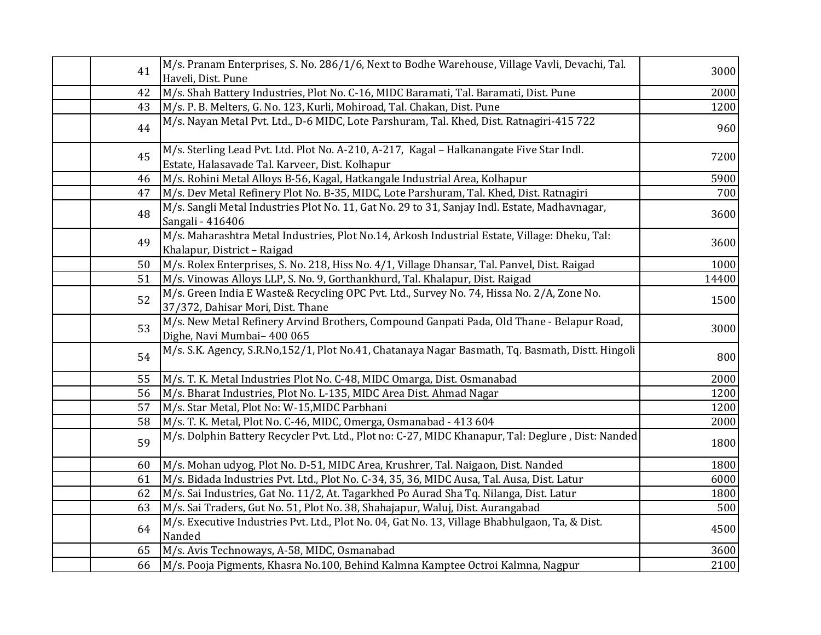| 41 | M/s. Pranam Enterprises, S. No. 286/1/6, Next to Bodhe Warehouse, Village Vavli, Devachi, Tal.<br>Haveli, Dist. Pune                        | 3000  |
|----|---------------------------------------------------------------------------------------------------------------------------------------------|-------|
| 42 | M/s. Shah Battery Industries, Plot No. C-16, MIDC Baramati, Tal. Baramati, Dist. Pune                                                       | 2000  |
| 43 | M/s. P. B. Melters, G. No. 123, Kurli, Mohiroad, Tal. Chakan, Dist. Pune                                                                    | 1200  |
| 44 | M/s. Nayan Metal Pvt. Ltd., D-6 MIDC, Lote Parshuram, Tal. Khed, Dist. Ratnagiri-415 722                                                    | 960   |
| 45 | M/s. Sterling Lead Pvt. Ltd. Plot No. A-210, A-217, Kagal - Halkanangate Five Star Indl.<br>Estate, Halasavade Tal. Karveer, Dist. Kolhapur | 7200  |
| 46 | M/s. Rohini Metal Alloys B-56, Kagal, Hatkangale Industrial Area, Kolhapur                                                                  | 5900  |
| 47 | M/s. Dev Metal Refinery Plot No. B-35, MIDC, Lote Parshuram, Tal. Khed, Dist. Ratnagiri                                                     | 700   |
| 48 | M/s. Sangli Metal Industries Plot No. 11, Gat No. 29 to 31, Sanjay Indl. Estate, Madhavnagar,<br>Sangali - 416406                           | 3600  |
| 49 | M/s. Maharashtra Metal Industries, Plot No.14, Arkosh Industrial Estate, Village: Dheku, Tal:<br>Khalapur, District - Raigad                | 3600  |
| 50 | M/s. Rolex Enterprises, S. No. 218, Hiss No. 4/1, Village Dhansar, Tal. Panvel, Dist. Raigad                                                | 1000  |
| 51 | M/s. Vinowas Alloys LLP, S. No. 9, Gorthankhurd, Tal. Khalapur, Dist. Raigad                                                                | 14400 |
| 52 | M/s. Green India E Waste& Recycling OPC Pvt. Ltd., Survey No. 74, Hissa No. 2/A, Zone No.<br>37/372, Dahisar Mori, Dist. Thane              | 1500  |
| 53 | M/s. New Metal Refinery Arvind Brothers, Compound Ganpati Pada, Old Thane - Belapur Road,<br>Dighe, Navi Mumbai-400 065                     | 3000  |
| 54 | M/s. S.K. Agency, S.R.No,152/1, Plot No.41, Chatanaya Nagar Basmath, Tq. Basmath, Distt. Hingoli                                            | 800   |
| 55 | M/s. T. K. Metal Industries Plot No. C-48, MIDC Omarga, Dist. Osmanabad                                                                     | 2000  |
| 56 | M/s. Bharat Industries, Plot No. L-135, MIDC Area Dist. Ahmad Nagar                                                                         | 1200  |
| 57 | M/s. Star Metal, Plot No: W-15, MIDC Parbhani                                                                                               | 1200  |
| 58 | M/s. T. K. Metal, Plot No. C-46, MIDC, Omerga, Osmanabad - 413 604                                                                          | 2000  |
| 59 | M/s. Dolphin Battery Recycler Pvt. Ltd., Plot no: C-27, MIDC Khanapur, Tal: Deglure, Dist: Nanded                                           | 1800  |
| 60 | M/s. Mohan udyog, Plot No. D-51, MIDC Area, Krushrer, Tal. Naigaon, Dist. Nanded                                                            | 1800  |
| 61 | M/s. Bidada Industries Pvt. Ltd., Plot No. C-34, 35, 36, MIDC Ausa, Tal. Ausa, Dist. Latur                                                  | 6000  |
| 62 | M/s. Sai Industries, Gat No. 11/2, At. Tagarkhed Po Aurad Sha Tq. Nilanga, Dist. Latur                                                      | 1800  |
| 63 | M/s. Sai Traders, Gut No. 51, Plot No. 38, Shahajapur, Waluj, Dist. Aurangabad                                                              | 500   |
| 64 | M/s. Executive Industries Pvt. Ltd., Plot No. 04, Gat No. 13, Village Bhabhulgaon, Ta, & Dist.<br>Nanded                                    | 4500  |
| 65 | M/s. Avis Technoways, A-58, MIDC, Osmanabad                                                                                                 | 3600  |
| 66 | M/s. Pooja Pigments, Khasra No.100, Behind Kalmna Kamptee Octroi Kalmna, Nagpur                                                             | 2100  |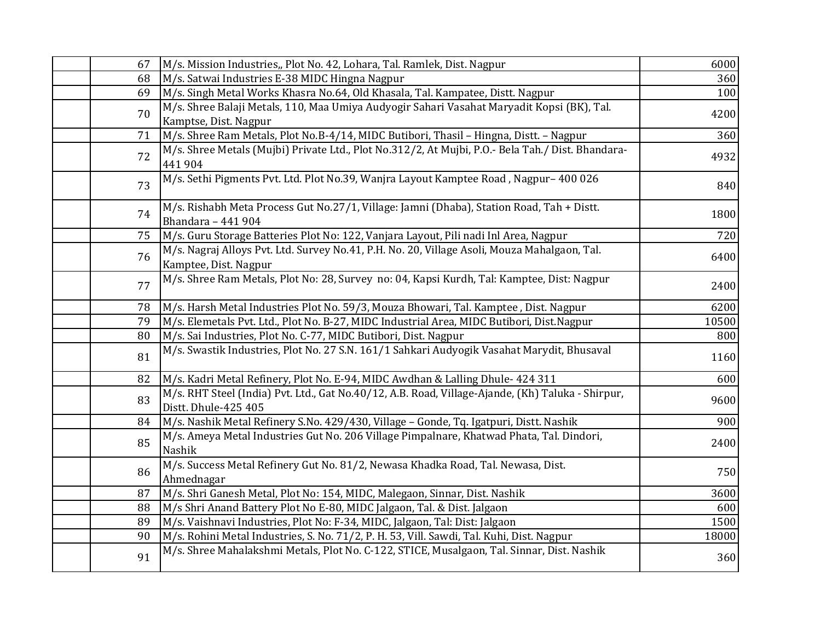| 67 | M/s. Mission Industries,, Plot No. 42, Lohara, Tal. Ramlek, Dist. Nagpur                                                  | 6000  |
|----|---------------------------------------------------------------------------------------------------------------------------|-------|
| 68 | M/s. Satwai Industries E-38 MIDC Hingna Nagpur                                                                            | 360   |
| 69 | M/s. Singh Metal Works Khasra No.64, Old Khasala, Tal. Kampatee, Distt. Nagpur                                            | 100   |
| 70 | M/s. Shree Balaji Metals, 110, Maa Umiya Audyogir Sahari Vasahat Maryadit Kopsi (BK), Tal.<br>Kamptse, Dist. Nagpur       | 4200  |
| 71 | M/s. Shree Ram Metals, Plot No.B-4/14, MIDC Butibori, Thasil - Hingna, Distt. - Nagpur                                    | 360   |
| 72 | M/s. Shree Metals (Mujbi) Private Ltd., Plot No.312/2, At Mujbi, P.O.- Bela Tah./ Dist. Bhandara-<br>441 904              | 4932  |
| 73 | M/s. Sethi Pigments Pvt. Ltd. Plot No.39, Wanjra Layout Kamptee Road, Nagpur-400 026                                      | 840   |
| 74 | M/s. Rishabh Meta Process Gut No.27/1, Village: Jamni (Dhaba), Station Road, Tah + Distt.<br>Bhandara - 441 904           | 1800  |
| 75 | M/s. Guru Storage Batteries Plot No: 122, Vanjara Layout, Pili nadi Inl Area, Nagpur                                      | 720   |
| 76 | M/s. Nagraj Alloys Pvt. Ltd. Survey No.41, P.H. No. 20, Village Asoli, Mouza Mahalgaon, Tal.<br>Kamptee, Dist. Nagpur     | 6400  |
| 77 | M/s. Shree Ram Metals, Plot No: 28, Survey no: 04, Kapsi Kurdh, Tal: Kamptee, Dist: Nagpur                                | 2400  |
| 78 | M/s. Harsh Metal Industries Plot No. 59/3, Mouza Bhowari, Tal. Kamptee, Dist. Nagpur                                      | 6200  |
| 79 | M/s. Elemetals Pvt. Ltd., Plot No. B-27, MIDC Industrial Area, MIDC Butibori, Dist.Nagpur                                 | 10500 |
| 80 | M/s. Sai Industries, Plot No. C-77, MIDC Butibori, Dist. Nagpur                                                           | 800   |
| 81 | M/s. Swastik Industries, Plot No. 27 S.N. 161/1 Sahkari Audyogik Vasahat Marydit, Bhusaval                                | 1160  |
| 82 | M/s. Kadri Metal Refinery, Plot No. E-94, MIDC Awdhan & Lalling Dhule- 424 311                                            | 600   |
| 83 | M/s. RHT Steel (India) Pvt. Ltd., Gat No.40/12, A.B. Road, Village-Ajande, (Kh) Taluka - Shirpur,<br>Distt. Dhule-425 405 | 9600  |
| 84 | M/s. Nashik Metal Refinery S.No. 429/430, Village - Gonde, Tq. Igatpuri, Distt. Nashik                                    | 900   |
| 85 | M/s. Ameya Metal Industries Gut No. 206 Village Pimpalnare, Khatwad Phata, Tal. Dindori,<br>Nashik                        | 2400  |
| 86 | M/s. Success Metal Refinery Gut No. 81/2, Newasa Khadka Road, Tal. Newasa, Dist.<br>Ahmednagar                            | 750   |
| 87 | M/s. Shri Ganesh Metal, Plot No: 154, MIDC, Malegaon, Sinnar, Dist. Nashik                                                | 3600  |
| 88 | M/s Shri Anand Battery Plot No E-80, MIDC Jalgaon, Tal. & Dist. Jalgaon                                                   | 600   |
| 89 | M/s. Vaishnavi Industries, Plot No: F-34, MIDC, Jalgaon, Tal: Dist: Jalgaon                                               | 1500  |
| 90 | M/s. Rohini Metal Industries, S. No. 71/2, P. H. 53, Vill. Sawdi, Tal. Kuhi, Dist. Nagpur                                 | 18000 |
| 91 | M/s. Shree Mahalakshmi Metals, Plot No. C-122, STICE, Musalgaon, Tal. Sinnar, Dist. Nashik                                | 360   |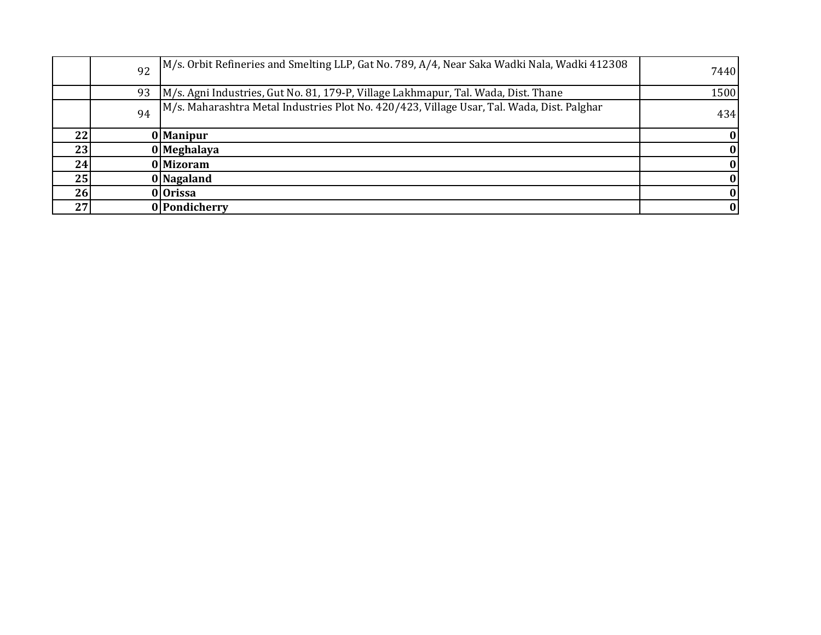|    | 92 | M/s. Orbit Refineries and Smelting LLP, Gat No. 789, A/4, Near Saka Wadki Nala, Wadki 412308 | 7440 |
|----|----|----------------------------------------------------------------------------------------------|------|
|    | 93 | M/s. Agni Industries, Gut No. 81, 179-P, Village Lakhmapur, Tal. Wada, Dist. Thane           | 1500 |
|    | 94 | M/s. Maharashtra Metal Industries Plot No. 420/423, Village Usar, Tal. Wada, Dist. Palghar   | 434  |
| 22 |    | 0 Manipur                                                                                    |      |
| 23 |    | 0 Meghalaya                                                                                  |      |
| 24 |    | 0 Mizoram                                                                                    |      |
| 25 |    | 0 Nagaland                                                                                   |      |
| 26 |    | 0 Orissa                                                                                     |      |
| 27 |    | 0 Pondicherry                                                                                |      |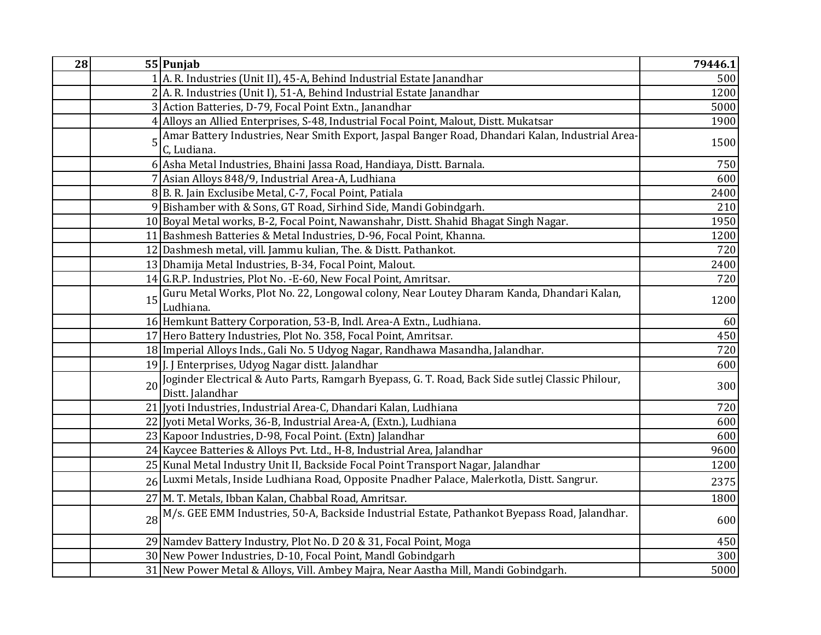| 28 | 55 Punjab                                                                                                                  | 79446.1 |
|----|----------------------------------------------------------------------------------------------------------------------------|---------|
|    | 1 A. R. Industries (Unit II), 45-A, Behind Industrial Estate Janandhar                                                     | 500     |
|    | 2A. R. Industries (Unit I), 51-A, Behind Industrial Estate Janandhar                                                       | 1200    |
|    | 3 Action Batteries, D-79, Focal Point Extn., Janandhar                                                                     | 5000    |
|    | 4 Alloys an Allied Enterprises, S-48, Industrial Focal Point, Malout, Distt. Mukatsar                                      | 1900    |
|    | Amar Battery Industries, Near Smith Export, Jaspal Banger Road, Dhandari Kalan, Industrial Area-<br>5<br>C, Ludiana.       | 1500    |
|    | 6 Asha Metal Industries, Bhaini Jassa Road, Handiaya, Distt. Barnala.                                                      | 750     |
|    | 7 Asian Alloys 848/9, Industrial Area-A, Ludhiana                                                                          | 600     |
|    | 8B. R. Jain Exclusibe Metal, C-7, Focal Point, Patiala                                                                     | 2400    |
|    | 9 Bishamber with & Sons, GT Road, Sirhind Side, Mandi Gobindgarh.                                                          | 210     |
|    | 10 Boyal Metal works, B-2, Focal Point, Nawanshahr, Distt. Shahid Bhagat Singh Nagar.                                      | 1950    |
|    | 11 Bashmesh Batteries & Metal Industries, D-96, Focal Point, Khanna.                                                       | 1200    |
|    | 12 Dashmesh metal, vill. Jammu kulian, The. & Distt. Pathankot.                                                            | 720     |
|    | 13 Dhamija Metal Industries, B-34, Focal Point, Malout.                                                                    | 2400    |
|    | 14 G.R.P. Industries, Plot No. - E-60, New Focal Point, Amritsar.                                                          | 720     |
|    | Guru Metal Works, Plot No. 22, Longowal colony, Near Loutey Dharam Kanda, Dhandari Kalan,<br>15<br>Ludhiana.               | 1200    |
|    | 16 Hemkunt Battery Corporation, 53-B, Indl. Area-A Extn., Ludhiana.                                                        | 60      |
|    | 17 Hero Battery Industries, Plot No. 358, Focal Point, Amritsar.                                                           | 450     |
|    | 18 Imperial Alloys Inds., Gali No. 5 Udyog Nagar, Randhawa Masandha, Jalandhar.                                            | 720     |
|    | 19J. J Enterprises, Udyog Nagar distt. Jalandhar                                                                           | 600     |
|    | Joginder Electrical & Auto Parts, Ramgarh Byepass, G. T. Road, Back Side sutlej Classic Philour,<br>20<br>Distt. Jalandhar | 300     |
|    | 21 Jyoti Industries, Industrial Area-C, Dhandari Kalan, Ludhiana                                                           | 720     |
|    | 22 Jyoti Metal Works, 36-B, Industrial Area-A, (Extn.), Ludhiana                                                           | 600     |
|    | 23 Kapoor Industries, D-98, Focal Point. (Extn) Jalandhar                                                                  | 600     |
|    | 24 Kaycee Batteries & Alloys Pvt. Ltd., H-8, Industrial Area, Jalandhar                                                    | 9600    |
|    | 25 Kunal Metal Industry Unit II, Backside Focal Point Transport Nagar, Jalandhar                                           | 1200    |
|    | 26 Luxmi Metals, Inside Ludhiana Road, Opposite Pnadher Palace, Malerkotla, Distt. Sangrur.                                | 2375    |
|    | 27 M. T. Metals, Ibban Kalan, Chabbal Road, Amritsar.                                                                      | 1800    |
|    | M/s. GEE EMM Industries, 50-A, Backside Industrial Estate, Pathankot Byepass Road, Jalandhar.<br>28                        | 600     |
|    | 29 Namdev Battery Industry, Plot No. D 20 & 31, Focal Point, Moga                                                          | 450     |
|    | 30 New Power Industries, D-10, Focal Point, Mandl Gobindgarh                                                               | 300     |
|    | 31 New Power Metal & Alloys, Vill. Ambey Majra, Near Aastha Mill, Mandi Gobindgarh.                                        | 5000    |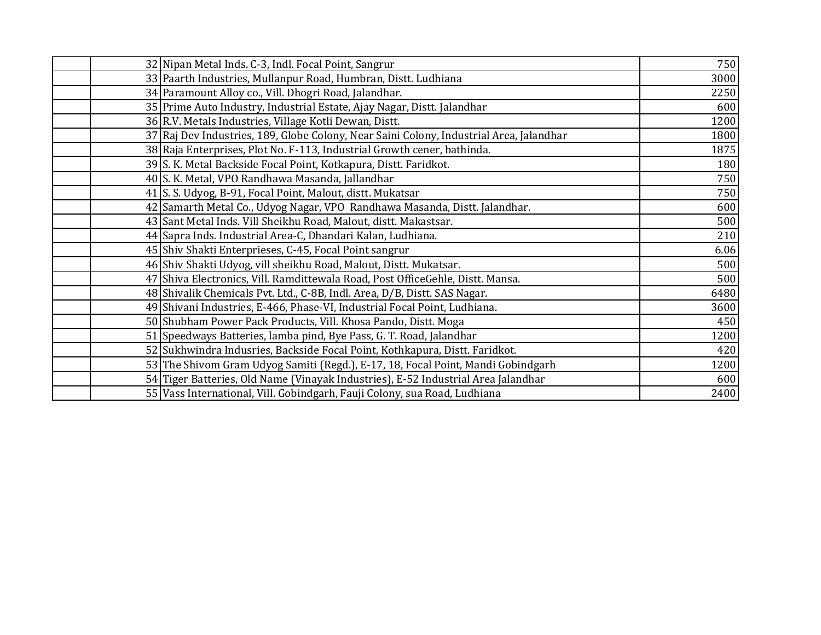| 32 Nipan Metal Inds. C-3, Indl. Focal Point, Sangrur                                    | 750  |
|-----------------------------------------------------------------------------------------|------|
| 33 Paarth Industries, Mullanpur Road, Humbran, Distt. Ludhiana                          | 3000 |
| 34 Paramount Alloy co., Vill. Dhogri Road, Jalandhar.                                   | 2250 |
| 35 Prime Auto Industry, Industrial Estate, Ajay Nagar, Distt. Jalandhar                 | 600  |
| 36 R.V. Metals Industries, Village Kotli Dewan, Distt.                                  | 1200 |
| 37 Raj Dev Industries, 189, Globe Colony, Near Saini Colony, Industrial Area, Jalandhar | 1800 |
| 38 Raja Enterprises, Plot No. F-113, Industrial Growth cener, bathinda.                 | 1875 |
| 39 S. K. Metal Backside Focal Point, Kotkapura, Distt. Faridkot.                        | 180  |
| 40 S. K. Metal, VPO Randhawa Masanda, Jallandhar                                        | 750  |
| 41 S. S. Udyog, B-91, Focal Point, Malout, distt. Mukatsar                              | 750  |
| 42 Samarth Metal Co., Udyog Nagar, VPO Randhawa Masanda, Distt. Jalandhar.              | 600  |
| 43 Sant Metal Inds. Vill Sheikhu Road, Malout, distt. Makastsar.                        | 500  |
| 44 Sapra Inds. Industrial Area-C, Dhandari Kalan, Ludhiana.                             | 210  |
| 45 Shiv Shakti Enterprieses, C-45, Focal Point sangrur                                  | 6.06 |
| 46 Shiv Shakti Udyog, vill sheikhu Road, Malout, Distt. Mukatsar.                       | 500  |
| 47 Shiva Electronics, Vill. Ramdittewala Road, Post Office Gehle, Distt. Mansa.         | 500  |
| 48 Shivalik Chemicals Pvt. Ltd., C-8B, Indl. Area, D/B, Distt. SAS Nagar.               | 6480 |
| 49 Shivani Industries, E-466, Phase-VI, Industrial Focal Point, Ludhiana.               | 3600 |
| 50 Shubham Power Pack Products, Vill. Khosa Pando, Distt. Moga                          | 450  |
| 51 Speedways Batteries, lamba pind, Bye Pass, G. T. Road, Jalandhar                     | 1200 |
| 52 Sukhwindra Indusries, Backside Focal Point, Kothkapura, Distt. Faridkot.             | 420  |
| 53 The Shivom Gram Udyog Samiti (Regd.), E-17, 18, Focal Point, Mandi Gobindgarh        | 1200 |
| 54 Tiger Batteries, Old Name (Vinayak Industries), E-52 Industrial Area Jalandhar       | 600  |
| 55 Vass International, Vill. Gobindgarh, Fauji Colony, sua Road, Ludhiana               | 2400 |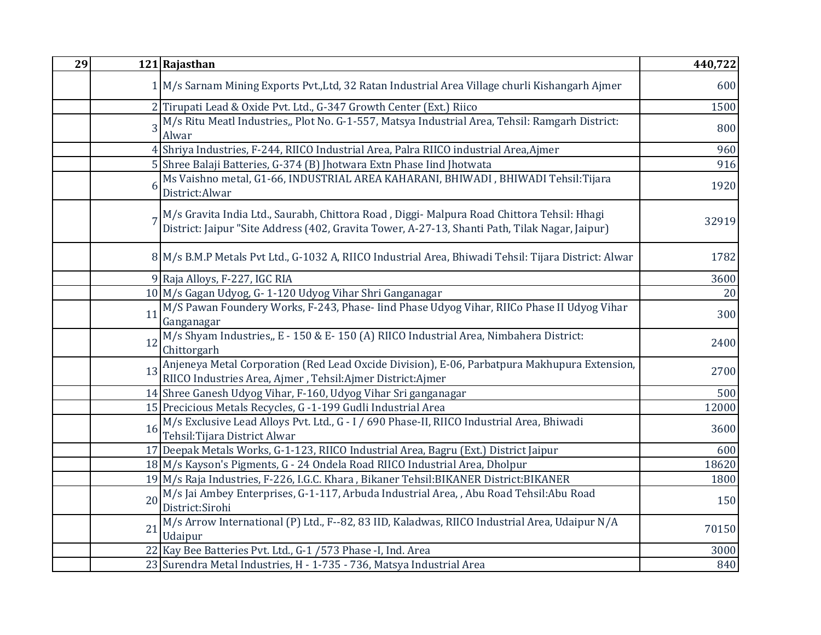| 29 |    | 121 Rajasthan                                                                                                                                                                                   | 440,722 |
|----|----|-------------------------------------------------------------------------------------------------------------------------------------------------------------------------------------------------|---------|
|    |    | 1 M/s Sarnam Mining Exports Pvt., Ltd, 32 Ratan Industrial Area Village churli Kishangarh Ajmer                                                                                                 | 600     |
|    |    | 2 Tirupati Lead & Oxide Pvt. Ltd., G-347 Growth Center (Ext.) Riico                                                                                                                             | 1500    |
|    |    | 3 M/s Ritu Meatl Industries,, Plot No. G-1-557, Matsya Industrial Area, Tehsil: Ramgarh District:<br>Alwar                                                                                      | 800     |
|    |    | 4 Shriya Industries, F-244, RIICO Industrial Area, Palra RIICO industrial Area, Ajmer                                                                                                           | 960     |
|    |    | 5 Shree Balaji Batteries, G-374 (B) Jhotwara Extn Phase lind Jhotwata                                                                                                                           | 916     |
|    |    | Ms Vaishno metal, G1-66, INDUSTRIAL AREA KAHARANI, BHIWADI, BHIWADI Tehsil:Tijara<br>District:Alwar                                                                                             | 1920    |
|    |    | 7 M/s Gravita India Ltd., Saurabh, Chittora Road , Diggi- Malpura Road Chittora Tehsil: Hhagi<br>District: Jaipur "Site Address (402, Gravita Tower, A-27-13, Shanti Path, Tilak Nagar, Jaipur) | 32919   |
|    |    | 8 M/s B.M.P Metals Pvt Ltd., G-1032 A, RIICO Industrial Area, Bhiwadi Tehsil: Tijara District: Alwar                                                                                            | 1782    |
|    |    | 9 Raja Alloys, F-227, IGC RIA                                                                                                                                                                   | 3600    |
|    |    | 10 M/s Gagan Udyog, G-1-120 Udyog Vihar Shri Ganganagar                                                                                                                                         | 20      |
|    | 11 | M/S Pawan Foundery Works, F-243, Phase- lind Phase Udyog Vihar, RIICo Phase II Udyog Vihar<br>Ganganagar                                                                                        | 300     |
|    | 12 | M/s Shyam Industries,, E - 150 & E- 150 (A) RIICO Industrial Area, Nimbahera District:<br>Chittorgarh                                                                                           | 2400    |
|    | 13 | Anjeneya Metal Corporation (Red Lead Oxcide Division), E-06, Parbatpura Makhupura Extension,<br>RIICO Industries Area, Ajmer, Tehsil:Ajmer District:Ajmer                                       | 2700    |
|    |    | 14 Shree Ganesh Udyog Vihar, F-160, Udyog Vihar Sri ganganagar                                                                                                                                  | 500     |
|    |    | 15 Precicious Metals Recycles, G -1-199 Gudli Industrial Area                                                                                                                                   | 12000   |
|    | 16 | M/s Exclusive Lead Alloys Pvt. Ltd., G - I / 690 Phase-II, RIICO Industrial Area, Bhiwadi<br>Tehsil: Tijara District Alwar                                                                      | 3600    |
|    |    | 17 Deepak Metals Works, G-1-123, RIICO Industrial Area, Bagru (Ext.) District Jaipur                                                                                                            | 600     |
|    |    | 18 M/s Kayson's Pigments, G - 24 Ondela Road RIICO Industrial Area, Dholpur                                                                                                                     | 18620   |
|    |    | 19 M/s Raja Industries, F-226, I.G.C. Khara, Bikaner Tehsil: BIKANER District: BIKANER                                                                                                          | 1800    |
|    | 20 | M/s Jai Ambey Enterprises, G-1-117, Arbuda Industrial Area, , Abu Road Tehsil: Abu Road<br>District:Sirohi                                                                                      | 150     |
|    | 21 | M/s Arrow International (P) Ltd., F--82, 83 IID, Kaladwas, RIICO Industrial Area, Udaipur N/A<br>Udaipur                                                                                        | 70150   |
|    |    | 22 Kay Bee Batteries Pvt. Ltd., G-1 /573 Phase -I, Ind. Area                                                                                                                                    | 3000    |
|    |    | 23 Surendra Metal Industries, H - 1-735 - 736, Matsya Industrial Area                                                                                                                           | 840     |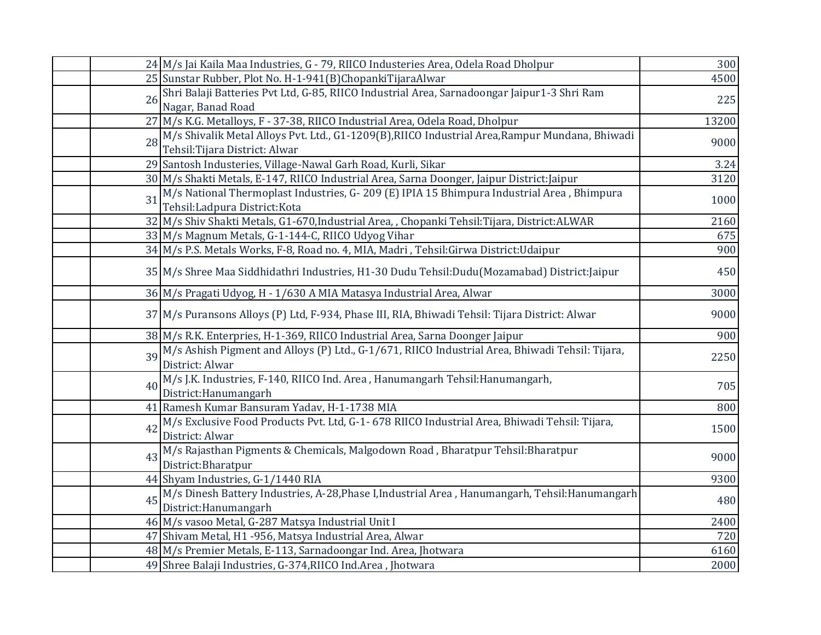|    | 24 M/s Jai Kaila Maa Industries, G - 79, RIICO Industeries Area, Odela Road Dholpur                | 300   |
|----|----------------------------------------------------------------------------------------------------|-------|
|    | 25 Sunstar Rubber, Plot No. H-1-941(B)ChopankiTijaraAlwar                                          | 4500  |
| 26 | Shri Balaji Batteries Pvt Ltd, G-85, RIICO Industrial Area, Sarnadoongar Jaipur1-3 Shri Ram        | 225   |
|    | Nagar, Banad Road                                                                                  |       |
|    | 27 M/s K.G. Metalloys, F - 37-38, RIICO Industrial Area, Odela Road, Dholpur                       | 13200 |
|    | 28 M/s Shivalik Metal Alloys Pvt. Ltd., G1-1209(B), RIICO Industrial Area, Rampur Mundana, Bhiwadi | 9000  |
|    | Tehsil: Tijara District: Alwar                                                                     |       |
|    | 29 Santosh Industeries, Village-Nawal Garh Road, Kurli, Sikar                                      | 3.24  |
|    | 30 M/s Shakti Metals, E-147, RIICO Industrial Area, Sarna Doonger, Jaipur District: Jaipur         | 3120  |
| 31 | M/s National Thermoplast Industries, G-209 (E) IPIA 15 Bhimpura Industrial Area, Bhimpura          | 1000  |
|    | Tehsil: Ladpura District: Kota                                                                     |       |
|    | 32 M/s Shiv Shakti Metals, G1-670, Industrial Area, , Chopanki Tehsil: Tijara, District: ALWAR     | 2160  |
|    | 33 M/s Magnum Metals, G-1-144-C, RIICO Udyog Vihar                                                 | 675   |
|    | 34 M/s P.S. Metals Works, F-8, Road no. 4, MIA, Madri, Tehsil: Girwa District: Udaipur             | 900   |
|    | 35 M/s Shree Maa Siddhidathri Industries, H1-30 Dudu Tehsil: Dudu (Mozamabad) District: Jaipur     | 450   |
|    | 36 M/s Pragati Udyog, H - 1/630 A MIA Matasya Industrial Area, Alwar                               | 3000  |
|    |                                                                                                    |       |
|    | 37 M/s Puransons Alloys (P) Ltd, F-934, Phase III, RIA, Bhiwadi Tehsil: Tijara District: Alwar     | 9000  |
|    | 38 M/s R.K. Enterpries, H-1-369, RIICO Industrial Area, Sarna Doonger Jaipur                       | 900   |
|    | 39 M/s Ashish Pigment and Alloys (P) Ltd., G-1/671, RIICO Industrial Area, Bhiwadi Tehsil: Tijara, | 2250  |
|    | District: Alwar                                                                                    |       |
| 40 | M/s J.K. Industries, F-140, RIICO Ind. Area, Hanumangarh Tehsil: Hanumangarh,                      | 705   |
|    | District:Hanumangarh                                                                               |       |
|    | 41 Ramesh Kumar Bansuram Yadav, H-1-1738 MIA                                                       | 800   |
|    | 42 M/s Exclusive Food Products Pvt. Ltd, G-1- 678 RIICO Industrial Area, Bhiwadi Tehsil: Tijara,   | 1500  |
|    | District: Alwar                                                                                    |       |
| 43 | M/s Rajasthan Pigments & Chemicals, Malgodown Road, Bharatpur Tehsil: Bharatpur                    | 9000  |
|    | District: Bharatpur                                                                                |       |
|    | 44 Shyam Industries, G-1/1440 RIA                                                                  | 9300  |
| 45 | M/s Dinesh Battery Industries, A-28, Phase I, Industrial Area, Hanumangarh, Tehsil: Hanumangarh    | 480   |
|    | District:Hanumangarh                                                                               |       |
|    | 46 M/s vasoo Metal, G-287 Matsya Industrial Unit I                                                 | 2400  |
|    | 47 Shivam Metal, H1 -956, Matsya Industrial Area, Alwar                                            | 720   |
|    | 48 M/s Premier Metals, E-113, Sarnadoongar Ind. Area, Jhotwara                                     | 6160  |
|    | 49 Shree Balaji Industries, G-374, RIICO Ind. Area, Jhotwara                                       | 2000  |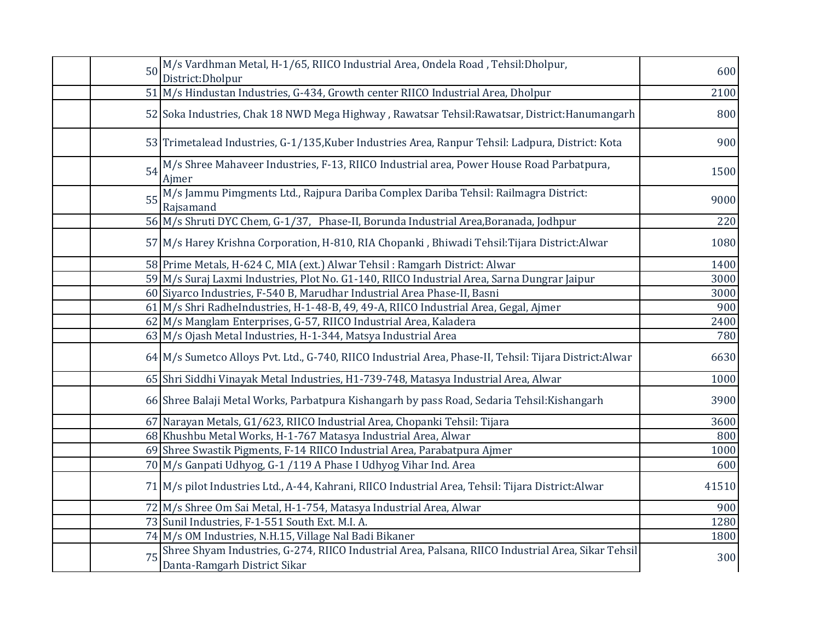| 50 M/s Vardhman Metal, H-1/65, RIICO Industrial Area, Ondela Road, Tehsil:Dholpur,<br>District: Dholpur                                  | 600   |
|------------------------------------------------------------------------------------------------------------------------------------------|-------|
| 51 M/s Hindustan Industries, G-434, Growth center RIICO Industrial Area, Dholpur                                                         | 2100  |
| 52 Soka Industries, Chak 18 NWD Mega Highway, Rawatsar Tehsil: Rawatsar, District: Hanumangarh                                           | 800   |
| 53 Trimetalead Industries, G-1/135, Kuber Industries Area, Ranpur Tehsil: Ladpura, District: Kota                                        | 900   |
| M/s Shree Mahaveer Industries, F-13, RIICO Industrial area, Power House Road Parbatpura,<br>54<br>Ajmer                                  | 1500  |
| 55 M/s Jammu Pimgments Ltd., Rajpura Dariba Complex Dariba Tehsil: Railmagra District:<br>Rajsamand                                      | 9000  |
| 56 M/s Shruti DYC Chem, G-1/37, Phase-II, Borunda Industrial Area, Boranada, Jodhpur                                                     | 220   |
| 57 M/s Harey Krishna Corporation, H-810, RIA Chopanki, Bhiwadi Tehsil: Tijara District: Alwar                                            | 1080  |
| 58 Prime Metals, H-624 C, MIA (ext.) Alwar Tehsil: Ramgarh District: Alwar                                                               | 1400  |
| 59 M/s Suraj Laxmi Industries, Plot No. G1-140, RIICO Industrial Area, Sarna Dungrar Jaipur                                              | 3000  |
| 60 Siyarco Industries, F-540 B, Marudhar Industrial Area Phase-II, Basni                                                                 | 3000  |
| 61 M/s Shri RadheIndustries, H-1-48-B, 49, 49-A, RIICO Industrial Area, Gegal, Ajmer                                                     | 900   |
| 62 M/s Manglam Enterprises, G-57, RIICO Industrial Area, Kaladera                                                                        | 2400  |
| 63 M/s Ojash Metal Industries, H-1-344, Matsya Industrial Area                                                                           | 780   |
| 64 M/s Sumetco Alloys Pvt. Ltd., G-740, RIICO Industrial Area, Phase-II, Tehsil: Tijara District:Alwar                                   | 6630  |
| 65 Shri Siddhi Vinayak Metal Industries, H1-739-748, Matasya Industrial Area, Alwar                                                      | 1000  |
| 66 Shree Balaji Metal Works, Parbatpura Kishangarh by pass Road, Sedaria Tehsil: Kishangarh                                              | 3900  |
| 67 Narayan Metals, G1/623, RIICO Industrial Area, Chopanki Tehsil: Tijara                                                                | 3600  |
| 68 Khushbu Metal Works, H-1-767 Matasya Industrial Area, Alwar                                                                           | 800   |
| 69 Shree Swastik Pigments, F-14 RIICO Industrial Area, Parabatpura Ajmer                                                                 | 1000  |
| 70 M/s Ganpati Udhyog, G-1 /119 A Phase I Udhyog Vihar Ind. Area                                                                         | 600   |
| 71 M/s pilot Industries Ltd., A-44, Kahrani, RIICO Industrial Area, Tehsil: Tijara District: Alwar                                       | 41510 |
| 72 M/s Shree Om Sai Metal, H-1-754, Matasya Industrial Area, Alwar                                                                       | 900   |
| 73 Sunil Industries, F-1-551 South Ext. M.I. A.                                                                                          | 1280  |
| 74 M/s OM Industries, N.H.15, Village Nal Badi Bikaner                                                                                   | 1800  |
| Shree Shyam Industries, G-274, RIICO Industrial Area, Palsana, RIICO Industrial Area, Sikar Tehsil<br>75<br>Danta-Ramgarh District Sikar | 300   |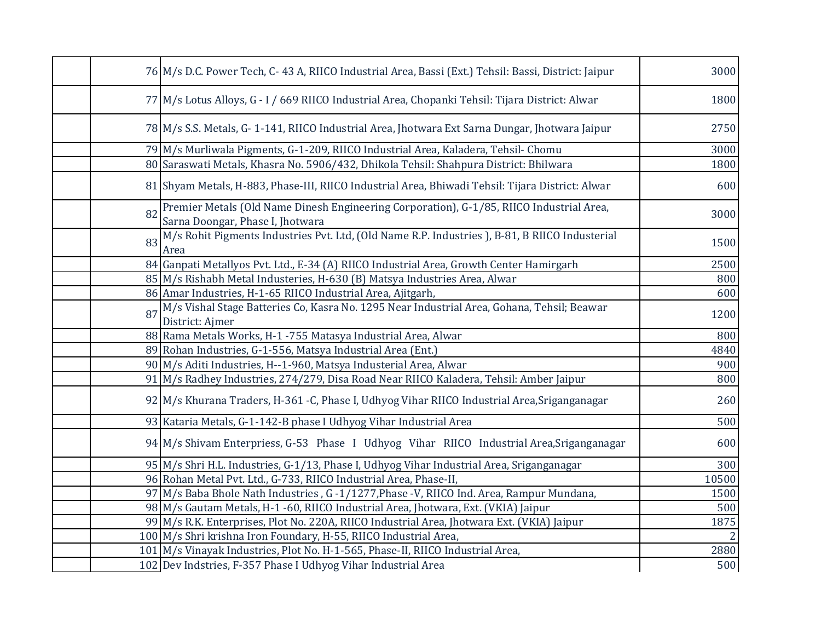|    | 76 M/s D.C. Power Tech, C-43 A, RIICO Industrial Area, Bassi (Ext.) Tehsil: Bassi, District: Jaipur                             | 3000  |
|----|---------------------------------------------------------------------------------------------------------------------------------|-------|
|    | 77 M/s Lotus Alloys, G - I / 669 RIICO Industrial Area, Chopanki Tehsil: Tijara District: Alwar                                 | 1800  |
|    | 78 M/s S.S. Metals, G-1-141, RIICO Industrial Area, Jhotwara Ext Sarna Dungar, Jhotwara Jaipur                                  | 2750  |
|    | 79 M/s Murliwala Pigments, G-1-209, RIICO Industrial Area, Kaladera, Tehsil-Chomu                                               | 3000  |
|    | 80 Saraswati Metals, Khasra No. 5906/432, Dhikola Tehsil: Shahpura District: Bhilwara                                           | 1800  |
|    | 81 Shyam Metals, H-883, Phase-III, RIICO Industrial Area, Bhiwadi Tehsil: Tijara District: Alwar                                | 600   |
|    | 82 Premier Metals (Old Name Dinesh Engineering Corporation), G-1/85, RIICO Industrial Area,<br>Sarna Doongar, Phase I, Jhotwara | 3000  |
| 83 | M/s Rohit Pigments Industries Pvt. Ltd, (Old Name R.P. Industries), B-81, B RIICO Industerial<br>Area                           | 1500  |
|    | 84 Ganpati Metallyos Pvt. Ltd., E-34 (A) RIICO Industrial Area, Growth Center Hamirgarh                                         | 2500  |
|    | 85 M/s Rishabh Metal Industeries, H-630 (B) Matsya Industries Area, Alwar                                                       | 800   |
|    | 86 Amar Industries, H-1-65 RIICO Industrial Area, Ajitgarh,                                                                     | 600   |
| 87 | M/s Vishal Stage Batteries Co, Kasra No. 1295 Near Industrial Area, Gohana, Tehsil; Beawar<br>District: Ajmer                   | 1200  |
|    | 88 Rama Metals Works, H-1 -755 Matasya Industrial Area, Alwar                                                                   | 800   |
|    | 89 Rohan Industries, G-1-556, Matsya Industrial Area (Ent.)                                                                     | 4840  |
|    | 90 M/s Aditi Industries, H--1-960, Matsya Industerial Area, Alwar                                                               | 900   |
|    | 91 M/s Radhey Industries, 274/279, Disa Road Near RIICO Kaladera, Tehsil: Amber Jaipur                                          | 800   |
|    | 92 M/s Khurana Traders, H-361 -C, Phase I, Udhyog Vihar RIICO Industrial Area, Sriganganagar                                    | 260   |
|    | 93 Kataria Metals, G-1-142-B phase I Udhyog Vihar Industrial Area                                                               | 500   |
|    | 94 M/s Shivam Enterpriess, G-53 Phase I Udhyog Vihar RIICO Industrial Area, Sriganganagar                                       | 600   |
|    | 95 M/s Shri H.L. Industries, G-1/13, Phase I, Udhyog Vihar Industrial Area, Sriganganagar                                       | 300   |
|    | 96 Rohan Metal Pvt. Ltd., G-733, RIICO Industrial Area, Phase-II,                                                               | 10500 |
|    | 97 M/s Baba Bhole Nath Industries, G -1/1277, Phase -V, RIICO Ind. Area, Rampur Mundana,                                        | 1500  |
|    | 98 M/s Gautam Metals, H-1 -60, RIICO Industrial Area, Jhotwara, Ext. (VKIA) Jaipur                                              | 500   |
|    | 99 M/s R.K. Enterprises, Plot No. 220A, RIICO Industrial Area, Jhotwara Ext. (VKIA) Jaipur                                      | 1875  |
|    | 100 M/s Shri krishna Iron Foundary, H-55, RIICO Industrial Area,                                                                |       |
|    | 101 M/s Vinayak Industries, Plot No. H-1-565, Phase-II, RIICO Industrial Area,                                                  | 2880  |
|    | 102 Dev Indstries, F-357 Phase I Udhyog Vihar Industrial Area                                                                   | 500   |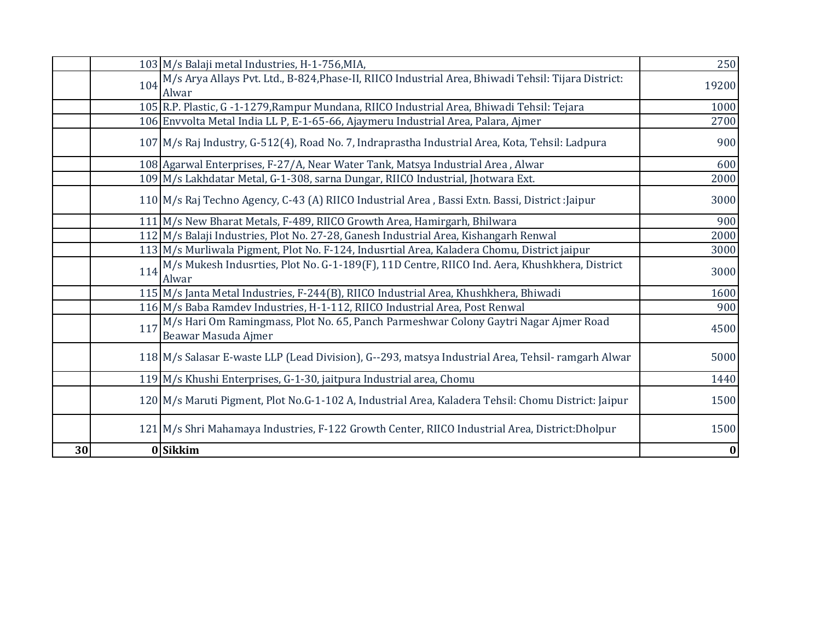|     | 103 M/s Balaji metal Industries, H-1-756, MIA,                                                                   | 250      |
|-----|------------------------------------------------------------------------------------------------------------------|----------|
|     | 104 M/s Arya Allays Pvt. Ltd., B-824, Phase-II, RIICO Industrial Area, Bhiwadi Tehsil: Tijara District:<br>Alwar | 19200    |
|     | 105 R.P. Plastic, G -1-1279, Rampur Mundana, RIICO Industrial Area, Bhiwadi Tehsil: Tejara                       | 1000     |
|     | 106 Envvolta Metal India LL P, E-1-65-66, Ajaymeru Industrial Area, Palara, Ajmer                                | 2700     |
|     | 107 M/s Raj Industry, G-512(4), Road No. 7, Indraprastha Industrial Area, Kota, Tehsil: Ladpura                  | 900      |
|     | 108 Agarwal Enterprises, F-27/A, Near Water Tank, Matsya Industrial Area, Alwar                                  | 600      |
|     | 109 M/s Lakhdatar Metal, G-1-308, sarna Dungar, RIICO Industrial, Jhotwara Ext.                                  | 2000     |
|     | 110 M/s Raj Techno Agency, C-43 (A) RIICO Industrial Area, Bassi Extn. Bassi, District : Jaipur                  | 3000     |
|     | 111 M/s New Bharat Metals, F-489, RIICO Growth Area, Hamirgarh, Bhilwara                                         | 900      |
|     | 112 M/s Balaji Industries, Plot No. 27-28, Ganesh Industrial Area, Kishangarh Renwal                             | 2000     |
|     | 113 M/s Murliwala Pigment, Plot No. F-124, Indusrtial Area, Kaladera Chomu, District jaipur                      | 3000     |
|     | 114 M/s Mukesh Indusrties, Plot No. G-1-189(F), 11D Centre, RIICO Ind. Aera, Khushkhera, District<br>Alwar       | 3000     |
|     | 115 M/s Janta Metal Industries, F-244(B), RIICO Industrial Area, Khushkhera, Bhiwadi                             | 1600     |
|     | 116 M/s Baba Ramdev Industries, H-1-112, RIICO Industrial Area, Post Renwal                                      | 900      |
| 117 | M/s Hari Om Ramingmass, Plot No. 65, Panch Parmeshwar Colony Gaytri Nagar Ajmer Road<br>Beawar Masuda Ajmer      | 4500     |
|     | 118 M/s Salasar E-waste LLP (Lead Division), G--293, matsya Industrial Area, Tehsil-ramgarh Alwar                | 5000     |
|     | 119 M/s Khushi Enterprises, G-1-30, jaitpura Industrial area, Chomu                                              | 1440     |
|     | 120 M/s Maruti Pigment, Plot No.G-1-102 A, Industrial Area, Kaladera Tehsil: Chomu District: Jaipur              | 1500     |
|     | 121 M/s Shri Mahamaya Industries, F-122 Growth Center, RIICO Industrial Area, District: Dholpur                  | 1500     |
| 30  | 0 Sikkim                                                                                                         | $\bf{0}$ |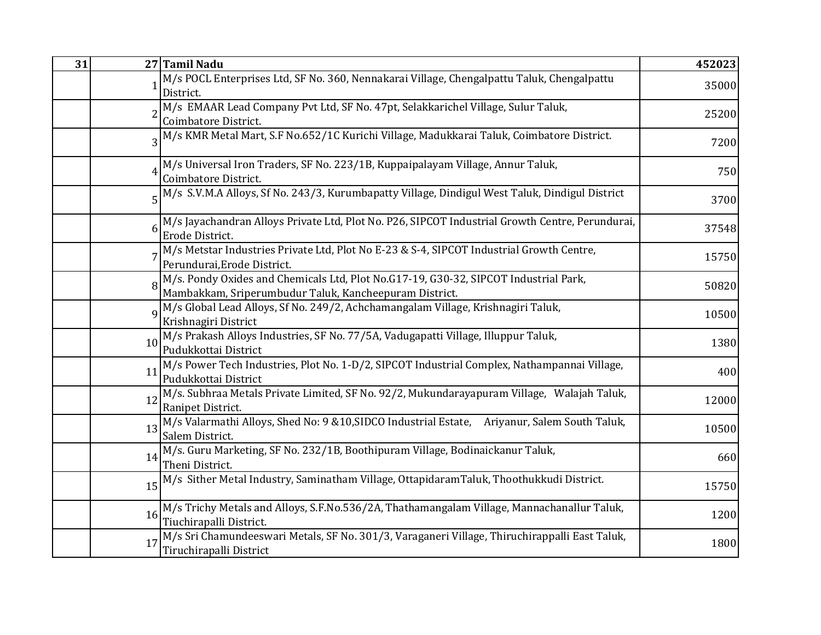| 31 |    | 27 Tamil Nadu                                                                                                                               | 452023 |
|----|----|---------------------------------------------------------------------------------------------------------------------------------------------|--------|
|    |    | M/s POCL Enterprises Ltd, SF No. 360, Nennakarai Village, Chengalpattu Taluk, Chengalpattu<br>District.                                     | 35000  |
|    |    | M/s EMAAR Lead Company Pvt Ltd, SF No. 47pt, Selakkarichel Village, Sulur Taluk,<br>Coimbatore District.                                    | 25200  |
|    |    | M/s KMR Metal Mart, S.F No.652/1C Kurichi Village, Madukkarai Taluk, Coimbatore District.                                                   | 7200   |
|    |    | M/s Universal Iron Traders, SF No. 223/1B, Kuppaipalayam Village, Annur Taluk,<br>Coimbatore District.                                      | 750    |
|    |    | 5 <sup>M</sup> /s S.V.M.A Alloys, Sf No. 243/3, Kurumbapatty Village, Dindigul West Taluk, Dindigul District                                | 3700   |
|    |    | M/s Jayachandran Alloys Private Ltd, Plot No. P26, SIPCOT Industrial Growth Centre, Perundurai,<br>Erode District.                          | 37548  |
|    |    | M/s Metstar Industries Private Ltd, Plot No E-23 & S-4, SIPCOT Industrial Growth Centre,<br>Perundurai, Erode District.                     | 15750  |
|    |    | M/s. Pondy Oxides and Chemicals Ltd, Plot No.G17-19, G30-32, SIPCOT Industrial Park, Mambakkam, Sriperumbudur Taluk, Kancheepuram District. | 50820  |
|    |    | M/s Global Lead Alloys, Sf No. 249/2, Achchamangalam Village, Krishnagiri Taluk,<br>Krishnagiri District                                    | 10500  |
|    | 10 | M/s Prakash Alloys Industries, SF No. 77/5A, Vadugapatti Village, Illuppur Taluk,<br>Pudukkottai District                                   | 1380   |
|    | 11 | M/s Power Tech Industries, Plot No. 1-D/2, SIPCOT Industrial Complex, Nathampannai Village,<br>Pudukkottai District                         | 400    |
|    | 12 | M/s. Subhraa Metals Private Limited, SF No. 92/2, Mukundarayapuram Village, Walajah Taluk,<br>Ranipet District.                             | 12000  |
|    | 13 | M/s Valarmathi Alloys, Shed No: 9 &10, SIDCO Industrial Estate, Ariyanur, Salem South Taluk,<br>Salem District.                             | 10500  |
|    | 14 | M/s. Guru Marketing, SF No. 232/1B, Boothipuram Village, Bodinaickanur Taluk,<br>Theni District.                                            | 660    |
|    | 15 | M/s Sither Metal Industry, Saminatham Village, OttapidaramTaluk, Thoothukkudi District.                                                     | 15750  |
|    | 16 | M/s Trichy Metals and Alloys, S.F.No.536/2A, Thathamangalam Village, Mannachanallur Taluk,<br>Tiuchirapalli District.                       | 1200   |
|    | 17 | M/s Sri Chamundeeswari Metals, SF No. 301/3, Varaganeri Village, Thiruchirappalli East Taluk,<br>Tiruchirapalli District                    | 1800   |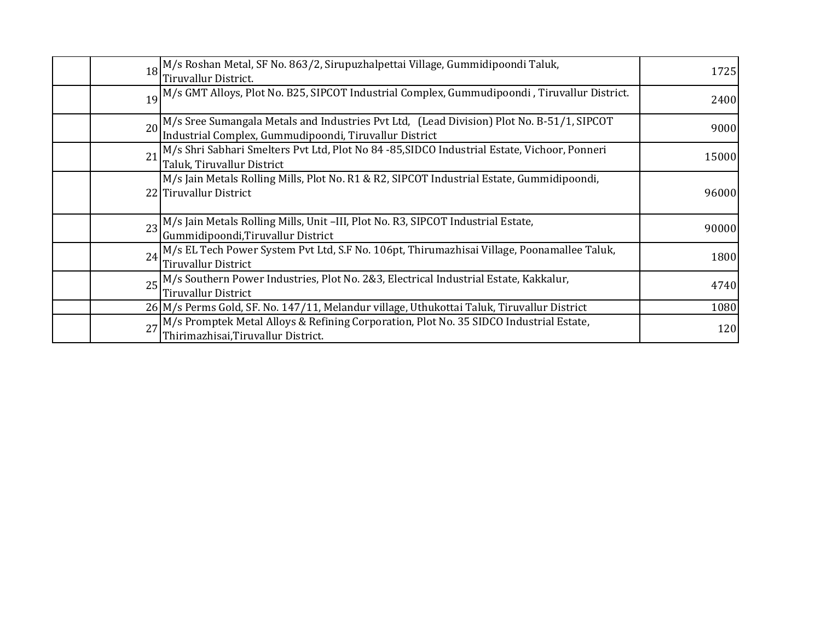|    | 18 M/s Roshan Metal, SF No. 863/2, Sirupuzhalpettai Village, Gummidipoondi Taluk,<br>Tiruvallur District.                                           | 1725  |
|----|-----------------------------------------------------------------------------------------------------------------------------------------------------|-------|
|    | 19 M/s GMT Alloys, Plot No. B25, SIPCOT Industrial Complex, Gummudipoondi, Tiruvallur District.                                                     | 2400  |
|    | 20 M/s Sree Sumangala Metals and Industries Pvt Ltd, (Lead Division) Plot No. B-51/1, SIPCOT Industrial Complex, Gummudipoondi, Tiruvallur District | 9000  |
| 21 | M/s Shri Sabhari Smelters Pvt Ltd, Plot No 84 -85, SIDCO Industrial Estate, Vichoor, Ponneri<br>Taluk, Tiruvallur District                          | 15000 |
|    | M/s Jain Metals Rolling Mills, Plot No. R1 & R2, SIPCOT Industrial Estate, Gummidipoondi,<br>22 Tiruvallur District                                 | 96000 |
| 23 | M/s Jain Metals Rolling Mills, Unit -III, Plot No. R3, SIPCOT Industrial Estate,<br>Gummidipoondi, Tiruvallur District                              | 90000 |
| 24 | M/s EL Tech Power System Pvt Ltd, S.F No. 106pt, Thirumazhisai Village, Poonamallee Taluk,<br><b>Tiruvallur District</b>                            | 1800  |
|    | 25 M/s Southern Power Industries, Plot No. 2&3, Electrical Industrial Estate, Kakkalur,<br><b>Tiruvallur District</b>                               | 4740  |
|    | 26 M/s Perms Gold, SF. No. 147/11, Melandur village, Uthukottai Taluk, Tiruvallur District                                                          | 1080  |
|    | 27 M/s Promptek Metal Alloys & Refining Corporation, Plot No. 35 SIDCO Industrial Estate,<br>Thirimazhisai, Tiruvallur District.                    | 120   |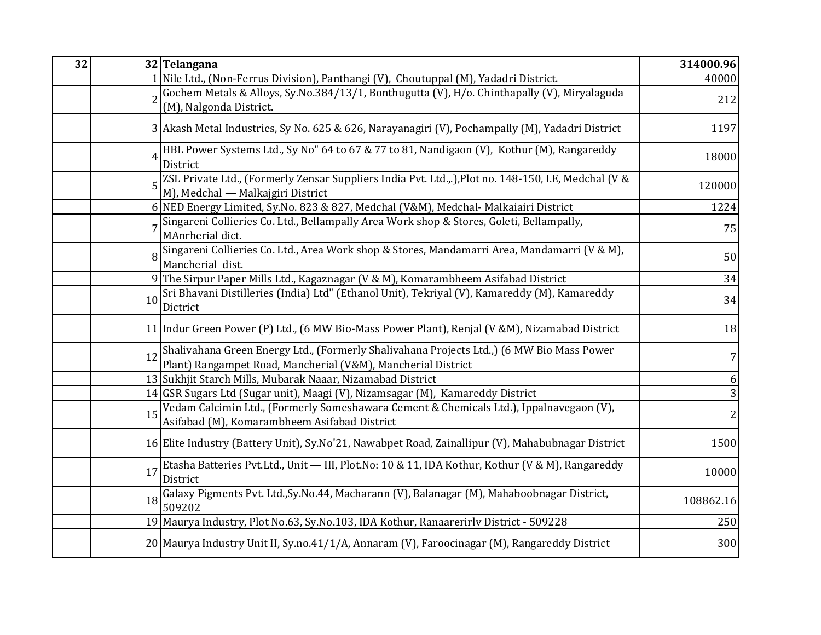| 32 |    | 32 Telangana                                                                                                                                                 | 314000.96 |
|----|----|--------------------------------------------------------------------------------------------------------------------------------------------------------------|-----------|
|    |    | 1 Nile Ltd., (Non-Ferrus Division), Panthangi (V), Choutuppal (M), Yadadri District.                                                                         | 40000     |
|    |    | Gochem Metals & Alloys, Sy.No.384/13/1, Bonthugutta (V), H/o. Chinthapally (V), Miryalaguda                                                                  | 212       |
|    |    | (M), Nalgonda District.                                                                                                                                      |           |
|    |    | 3 Akash Metal Industries, Sy No. 625 & 626, Narayanagiri (V), Pochampally (M), Yadadri District                                                              | 1197      |
|    |    | HBL Power Systems Ltd., Sy No" 64 to 67 & 77 to 81, Nandigaon (V), Kothur (M), Rangareddy<br>District                                                        | 18000     |
|    |    | ZSL Private Ltd., (Formerly Zensar Suppliers India Pvt. Ltd.,.), Plot no. 148-150, I.E, Medchal (V &<br>M), Medchal - Malkajgiri District                    | 120000    |
|    |    | 6 NED Energy Limited, Sy.No. 823 & 827, Medchal (V&M), Medchal- Malkaiairi District                                                                          | 1224      |
|    |    | Singareni Collieries Co. Ltd., Bellampally Area Work shop & Stores, Goleti, Bellampally,<br>MAnrherial dict.                                                 | 75        |
|    |    | Singareni Collieries Co. Ltd., Area Work shop & Stores, Mandamarri Area, Mandamarri (V & M),<br>Mancherial dist.                                             | 50        |
|    |    | 9 The Sirpur Paper Mills Ltd., Kagaznagar (V & M), Komarambheem Asifabad District                                                                            | 34        |
|    | 10 | Sri Bhavani Distilleries (India) Ltd" (Ethanol Unit), Tekriyal (V), Kamareddy (M), Kamareddy<br>Dictrict                                                     | 34        |
|    |    | 11 Indur Green Power (P) Ltd., (6 MW Bio-Mass Power Plant), Renjal (V &M), Nizamabad District                                                                | 18        |
|    |    | 12 Shalivahana Green Energy Ltd., (Formerly Shalivahana Projects Ltd.,) (6 MW Bio Mass Power<br>Plant) Rangampet Road, Mancherial (V&M), Mancherial District | 7         |
|    |    | 13 Sukhjit Starch Mills, Mubarak Naaar, Nizamabad District                                                                                                   | 6         |
|    |    | 14 GSR Sugars Ltd (Sugar unit), Maagi (V), Nizamsagar (M), Kamareddy District                                                                                | 3         |
|    | 15 | Vedam Calcimin Ltd., (Formerly Someshawara Cement & Chemicals Ltd.), Ippalnavegaon (V),<br>Asifabad (M), Komarambheem Asifabad District                      |           |
|    |    | 16 Elite Industry (Battery Unit), Sy.No'21, Nawabpet Road, Zainallipur (V), Mahabubnagar District                                                            | 1500      |
|    | 17 | Etasha Batteries Pvt.Ltd., Unit - III, Plot.No: 10 & 11, IDA Kothur, Kothur (V & M), Rangareddy<br>District                                                  | 10000     |
|    | 18 | Galaxy Pigments Pvt. Ltd., Sy. No. 44, Macharann (V), Balanagar (M), Mahaboobnagar District,<br>509202                                                       | 108862.16 |
|    |    | 19 Maurya Industry, Plot No.63, Sy.No.103, IDA Kothur, Ranaarerirly District - 509228                                                                        | 250       |
|    |    | 20 Maurya Industry Unit II, Sy.no.41/1/A, Annaram (V), Faroocinagar (M), Rangareddy District                                                                 | 300       |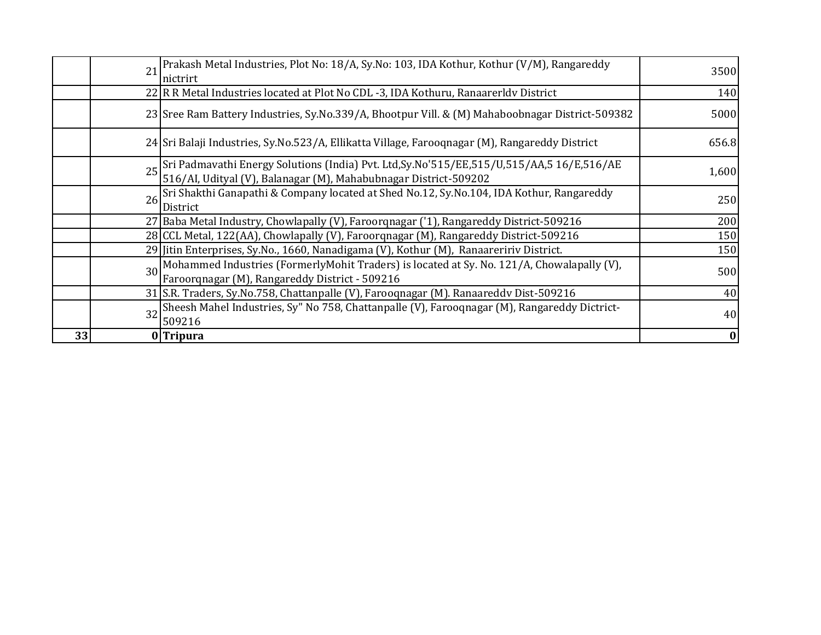|    | 21 Prakash Metal Industries, Plot No: 18/A, Sy.No: 103, IDA Kothur, Kothur (V/M), Rangareddy<br>Inictrirt                                                               | 3500  |
|----|-------------------------------------------------------------------------------------------------------------------------------------------------------------------------|-------|
|    | 22 R R Metal Industries located at Plot No CDL -3, IDA Kothuru, Ranaarerldy District                                                                                    | 140   |
|    | 23 Sree Ram Battery Industries, Sy.No.339/A, Bhootpur Vill. & (M) Mahaboobnagar District-509382                                                                         | 5000  |
|    | 24 Sri Balaji Industries, Sy.No.523/A, Ellikatta Village, Farooqnagar (M), Rangareddy District                                                                          | 656.8 |
|    | 25 Sri Padmavathi Energy Solutions (India) Pvt. Ltd, Sy. No'515/EE, 515/U, 515/AA, 516/E, 516/AE<br>25 S16/AI, Udityal (V), Balanagar (M), Mahabubnagar District-509202 | 1,600 |
|    | 26 Sri Shakthi Ganapathi & Company located at Shed No.12, Sy.No.104, IDA Kothur, Rangareddy<br>District                                                                 | 250   |
|    | 27 Baba Metal Industry, Chowlapally (V), Faroorqnagar ('1), Rangareddy District-509216                                                                                  | 200   |
|    | 28 CCL Metal, 122(AA), Chowlapally (V), Faroorqnagar (M), Rangareddy District-509216                                                                                    | 150   |
|    | 29 Jitin Enterprises, Sy.No., 1660, Nanadigama (V), Kothur (M), Ranaareririv District.                                                                                  | 150   |
|    | 30 Mohammed Industries (FormerlyMohit Traders) is located at Sy. No. 121/A, Chowalapally (V),<br>Faroorqnagar (M), Rangareddy District - 509216                         | 500   |
|    | 31 S.R. Traders, Sy.No.758, Chattanpalle (V), Farooqnagar (M). Ranaareddv Dist-509216                                                                                   | 40    |
|    | 32 Sheesh Mahel Industries, Sy" No 758, Chattanpalle (V), Farooqnagar (M), Rangareddy Dictrict-<br>509216                                                               | 40    |
| 33 | 0 Tripura                                                                                                                                                               | 0     |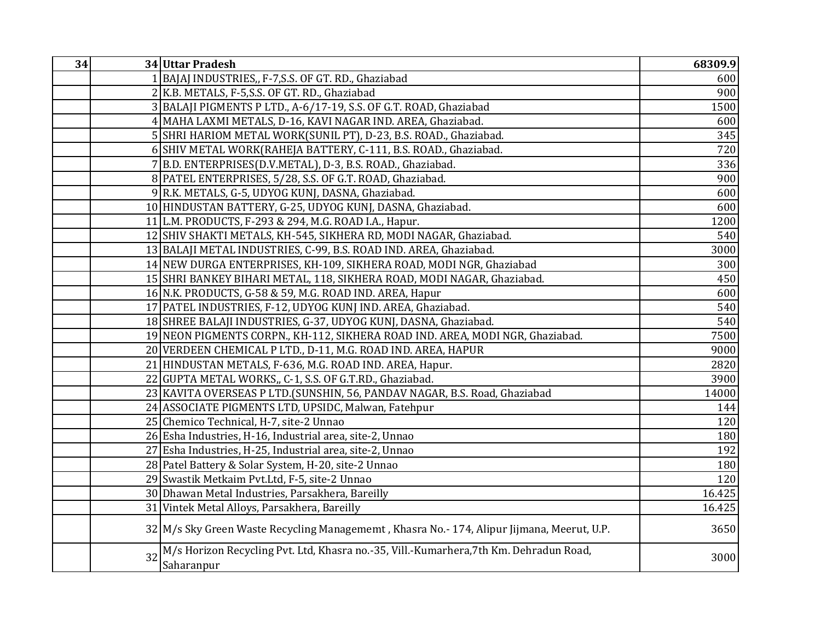| 34 |    | 34 Uttar Pradesh                                                                                     | 68309.9 |
|----|----|------------------------------------------------------------------------------------------------------|---------|
|    |    | BAJAJ INDUSTRIES,, F-7, S.S. OF GT. RD., Ghaziabad                                                   | 600     |
|    |    | 2 K.B. METALS, F-5, S.S. OF GT. RD., Ghaziabad                                                       | 900     |
|    |    | 3 BALAJI PIGMENTS P LTD., A-6/17-19, S.S. OF G.T. ROAD, Ghaziabad                                    | 1500    |
|    | 4  | MAHA LAXMI METALS, D-16, KAVI NAGAR IND. AREA, Ghaziabad.                                            | 600     |
|    |    | 5 SHRI HARIOM METAL WORK(SUNIL PT), D-23, B.S. ROAD., Ghaziabad.                                     | 345     |
|    |    | 6 SHIV METAL WORK(RAHEJA BATTERY, C-111, B.S. ROAD., Ghaziabad.                                      | 720     |
|    |    | 7 B.D. ENTERPRISES(D.V.METAL), D-3, B.S. ROAD., Ghaziabad.                                           | 336     |
|    |    | 8 PATEL ENTERPRISES, 5/28, S.S. OF G.T. ROAD, Ghaziabad.                                             | 900     |
|    |    | 9 R.K. METALS, G-5, UDYOG KUNJ, DASNA, Ghaziabad.                                                    | 600     |
|    |    | 10 HINDUSTAN BATTERY, G-25, UDYOG KUNJ, DASNA, Ghaziabad.                                            | 600     |
|    |    | 11 L.M. PRODUCTS, F-293 & 294, M.G. ROAD I.A., Hapur.                                                | 1200    |
|    |    | 12 SHIV SHAKTI METALS, KH-545, SIKHERA RD, MODI NAGAR, Ghaziabad.                                    | 540     |
|    |    | 13 BALAJI METAL INDUSTRIES, C-99, B.S. ROAD IND. AREA, Ghaziabad.                                    | 3000    |
|    |    | 14 NEW DURGA ENTERPRISES, KH-109, SIKHERA ROAD, MODI NGR, Ghaziabad                                  | 300     |
|    |    | 15 SHRI BANKEY BIHARI METAL, 118, SIKHERA ROAD, MODI NAGAR, Ghaziabad.                               | 450     |
|    |    | 16 N.K. PRODUCTS, G-58 & 59, M.G. ROAD IND. AREA, Hapur                                              | 600     |
|    |    | 17 PATEL INDUSTRIES, F-12, UDYOG KUNJ IND. AREA, Ghaziabad.                                          | 540     |
|    |    | 18 SHREE BALAJI INDUSTRIES, G-37, UDYOG KUNJ, DASNA, Ghaziabad.                                      | 540     |
|    |    | 19 NEON PIGMENTS CORPN., KH-112, SIKHERA ROAD IND. AREA, MODI NGR, Ghaziabad.                        | 7500    |
|    |    | 20 VERDEEN CHEMICAL P LTD., D-11, M.G. ROAD IND. AREA, HAPUR                                         | 9000    |
|    |    | 21 HINDUSTAN METALS, F-636, M.G. ROAD IND. AREA, Hapur.                                              | 2820    |
|    |    | 22 GUPTA METAL WORKS, C-1, S.S. OF G.T.RD., Ghaziabad.                                               | 3900    |
|    |    | 23 KAVITA OVERSEAS P LTD.(SUNSHIN, 56, PANDAV NAGAR, B.S. Road, Ghaziabad                            | 14000   |
|    |    | 24 ASSOCIATE PIGMENTS LTD, UPSIDC, Malwan, Fatehpur                                                  | 144     |
|    |    | 25 Chemico Technical, H-7, site-2 Unnao                                                              | 120     |
|    |    | 26 Esha Industries, H-16, Industrial area, site-2, Unnao                                             | 180     |
|    |    | 27 Esha Industries, H-25, Industrial area, site-2, Unnao                                             | 192     |
|    |    | 28 Patel Battery & Solar System, H-20, site-2 Unnao                                                  | 180     |
|    |    | 29 Swastik Metkaim Pvt.Ltd, F-5, site-2 Unnao                                                        | 120     |
|    |    | 30 Dhawan Metal Industries, Parsakhera, Bareilly                                                     | 16.425  |
|    |    | 31 Vintek Metal Alloys, Parsakhera, Bareilly                                                         | 16.425  |
|    |    | 32 M/s Sky Green Waste Recycling Managememt, Khasra No.- 174, Alipur Jijmana, Meerut, U.P.           | 3650    |
|    | 32 | M/s Horizon Recycling Pvt. Ltd, Khasra no.-35, Vill.-Kumarhera, 7th Km. Dehradun Road,<br>Saharanpur | 3000    |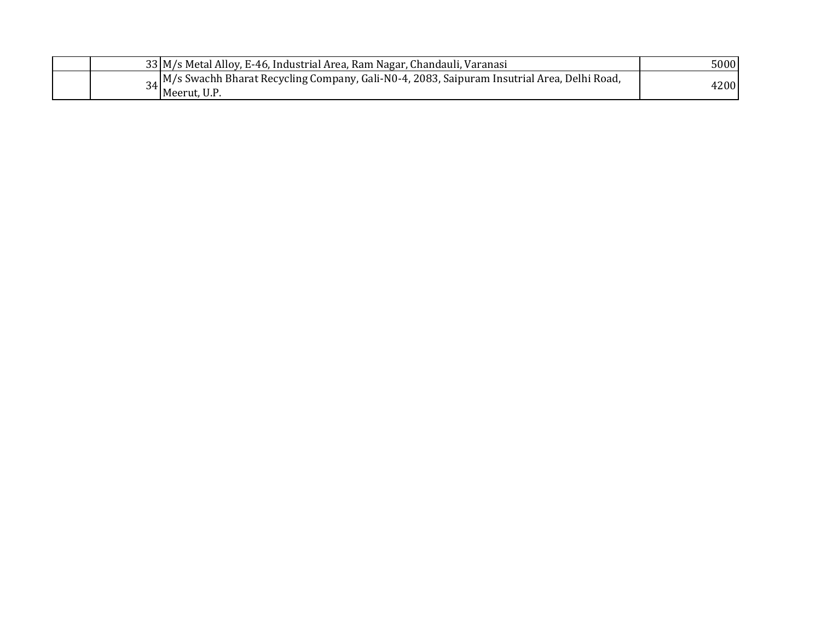| <sub>24</sub> M/s Swachh Bharat Recycling Company, Gali-N0-4, 2083, Saipuram Insutrial Area, Delhi Road,<br>4200<br>Meerut, U.P. | 33 M/s Metal Alloy, E-46, Industrial Area, Ram Nagar, Chandauli, Varanasi | 5000 |
|----------------------------------------------------------------------------------------------------------------------------------|---------------------------------------------------------------------------|------|
|                                                                                                                                  |                                                                           |      |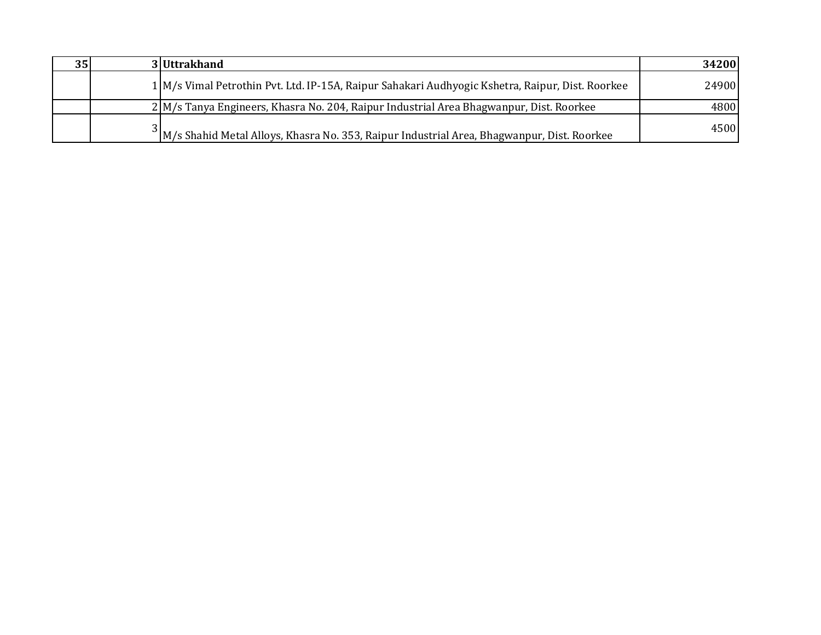| 35 | 3 Uttrakhand                                                                                            | 34200 |
|----|---------------------------------------------------------------------------------------------------------|-------|
|    | 1 M/s Vimal Petrothin Pvt. Ltd. IP-15A, Raipur Sahakari Audhyogic Kshetra, Raipur, Dist. Roorkee        | 24900 |
|    | 2 M/s Tanya Engineers, Khasra No. 204, Raipur Industrial Area Bhagwanpur, Dist. Roorkee                 | 4800  |
|    | <sup>2</sup> M/s Shahid Metal Alloys, Khasra No. 353, Raipur Industrial Area, Bhagwanpur, Dist. Roorkee | 4500  |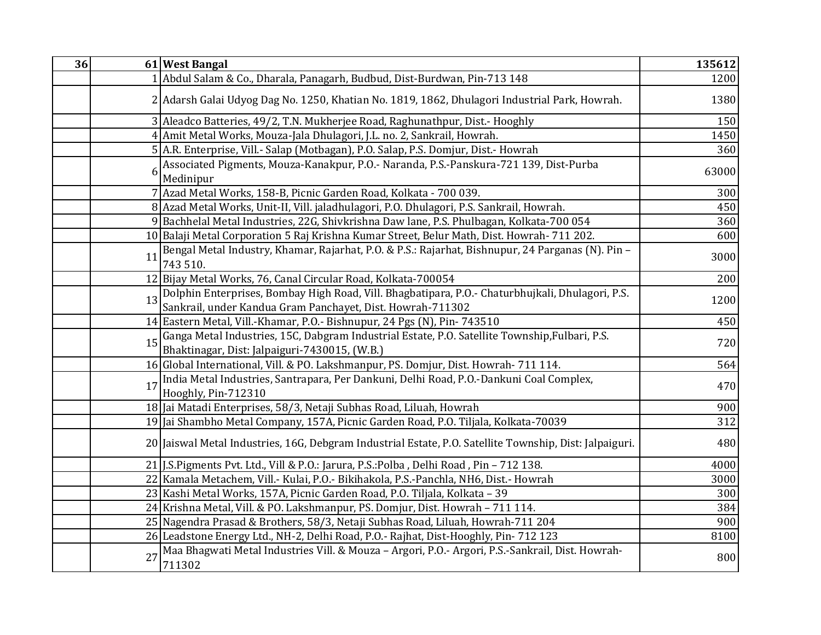| 36 |    | 61 West Bangal                                                                                                                                                 | 135612 |
|----|----|----------------------------------------------------------------------------------------------------------------------------------------------------------------|--------|
|    |    | Abdul Salam & Co., Dharala, Panagarh, Budbud, Dist-Burdwan, Pin-713 148                                                                                        | 1200   |
|    |    | 2 Adarsh Galai Udyog Dag No. 1250, Khatian No. 1819, 1862, Dhulagori Industrial Park, Howrah.                                                                  | 1380   |
|    |    | 3 Aleadco Batteries, 49/2, T.N. Mukherjee Road, Raghunathpur, Dist.- Hooghly                                                                                   | 150    |
|    |    | 4 Amit Metal Works, Mouza-Jala Dhulagori, J.L. no. 2, Sankrail, Howrah.                                                                                        | 1450   |
|    |    | 5 A.R. Enterprise, Vill.- Salap (Motbagan), P.O. Salap, P.S. Domjur, Dist.- Howrah                                                                             | 360    |
|    | ŕ  | Associated Pigments, Mouza-Kanakpur, P.O.- Naranda, P.S.-Panskura-721 139, Dist-Purba<br>Medinipur                                                             | 63000  |
|    |    | 7 Azad Metal Works, 158-B, Picnic Garden Road, Kolkata - 700 039.                                                                                              | 300    |
|    |    | 8 Azad Metal Works, Unit-II, Vill. jaladhulagori, P.O. Dhulagori, P.S. Sankrail, Howrah.                                                                       | 450    |
|    |    | 9 Bachhelal Metal Industries, 22G, Shivkrishna Daw lane, P.S. Phulbagan, Kolkata-700 054                                                                       | 360    |
|    |    | 10 Balaji Metal Corporation 5 Raj Krishna Kumar Street, Belur Math, Dist. Howrah-711 202.                                                                      | 600    |
|    | 11 | Bengal Metal Industry, Khamar, Rajarhat, P.O. & P.S.: Rajarhat, Bishnupur, 24 Parganas (N). Pin -<br>743 510.                                                  | 3000   |
|    |    | 12 Bijay Metal Works, 76, Canal Circular Road, Kolkata-700054                                                                                                  | 200    |
|    | 13 | Dolphin Enterprises, Bombay High Road, Vill. Bhagbatipara, P.O.- Chaturbhujkali, Dhulagori, P.S.<br>Sankrail, under Kandua Gram Panchayet, Dist. Howrah-711302 | 1200   |
|    |    | 14 Eastern Metal, Vill.-Khamar, P.O.- Bishnupur, 24 Pgs (N), Pin-743510                                                                                        | 450    |
|    | 15 | Ganga Metal Industries, 15C, Dabgram Industrial Estate, P.O. Satellite Township, Fulbari, P.S.<br>Bhaktinagar, Dist: Jalpaiguri-7430015, (W.B.)                | 720    |
|    |    | 16 Global International, Vill. & PO. Lakshmanpur, PS. Domjur, Dist. Howrah-711 114.                                                                            | 564    |
|    | 17 | India Metal Industries, Santrapara, Per Dankuni, Delhi Road, P.O.-Dankuni Coal Complex,<br>Hooghly, Pin-712310                                                 | 470    |
|    |    | 18 Jai Matadi Enterprises, 58/3, Netaji Subhas Road, Liluah, Howrah                                                                                            | 900    |
|    |    | 19 Jai Shambho Metal Company, 157A, Picnic Garden Road, P.O. Tiljala, Kolkata-70039                                                                            | 312    |
|    |    | 20 Jaiswal Metal Industries, 16G, Debgram Industrial Estate, P.O. Satellite Township, Dist: Jalpaiguri.                                                        | 480    |
|    |    | 21 J.S. Pigments Pvt. Ltd., Vill & P.O.: Jarura, P.S.: Polba, Delhi Road, Pin - 712 138.                                                                       | 4000   |
|    |    | 22 Kamala Metachem, Vill.- Kulai, P.O.- Bikihakola, P.S.-Panchla, NH6, Dist.- Howrah                                                                           | 3000   |
|    |    | 23 Kashi Metal Works, 157A, Picnic Garden Road, P.O. Tiljala, Kolkata - 39                                                                                     | 300    |
|    |    | 24 Krishna Metal, Vill. & PO. Lakshmanpur, PS. Domjur, Dist. Howrah - 711 114.                                                                                 | 384    |
|    |    | 25 Nagendra Prasad & Brothers, 58/3, Netaji Subhas Road, Liluah, Howrah-711 204                                                                                | 900    |
|    |    | 26 Leadstone Energy Ltd., NH-2, Delhi Road, P.O.- Rajhat, Dist-Hooghly, Pin- 712 123                                                                           | 8100   |
|    | 27 | Maa Bhagwati Metal Industries Vill. & Mouza - Argori, P.O.- Argori, P.S.-Sankrail, Dist. Howrah-<br>711302                                                     | 800    |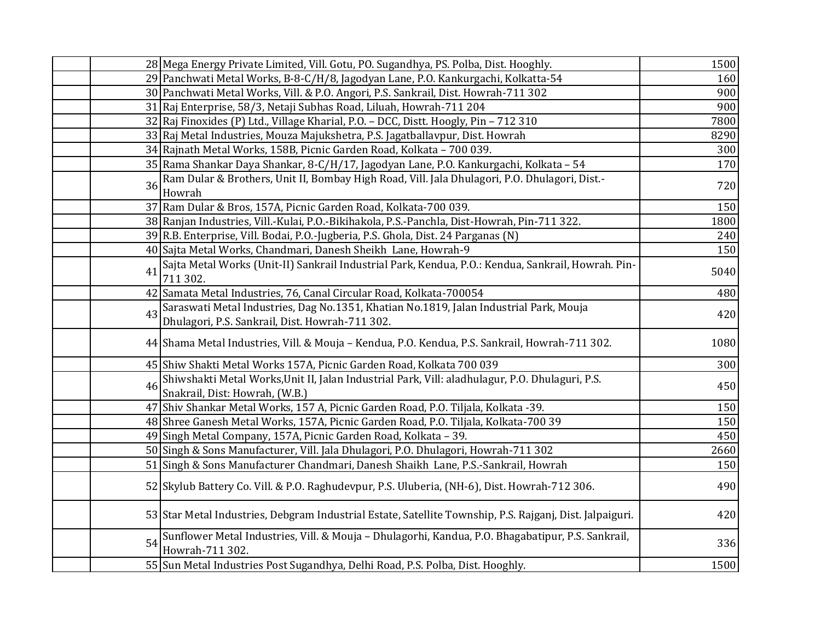|    | 28 Mega Energy Private Limited, Vill. Gotu, PO. Sugandhya, PS. Polba, Dist. Hooghly.                                                      | 1500 |
|----|-------------------------------------------------------------------------------------------------------------------------------------------|------|
|    | 29 Panchwati Metal Works, B-8-C/H/8, Jagodyan Lane, P.O. Kankurgachi, Kolkatta-54                                                         | 160  |
|    | 30 Panchwati Metal Works, Vill. & P.O. Angori, P.S. Sankrail, Dist. Howrah-711 302                                                        | 900  |
|    | 31 Raj Enterprise, 58/3, Netaji Subhas Road, Liluah, Howrah-711 204                                                                       | 900  |
|    | 32 Raj Finoxides (P) Ltd., Village Kharial, P.O. - DCC, Distt. Hoogly, Pin - 712 310                                                      | 7800 |
|    | 33 Raj Metal Industries, Mouza Majukshetra, P.S. Jagatballavpur, Dist. Howrah                                                             | 8290 |
|    | 34 Rajnath Metal Works, 158B, Picnic Garden Road, Kolkata - 700 039.                                                                      | 300  |
|    | 35   Rama Shankar Daya Shankar, 8-C/H/17, Jagodyan Lane, P.O. Kankurgachi, Kolkata - 54                                                   | 170  |
| 36 | Ram Dular & Brothers, Unit II, Bombay High Road, Vill. Jala Dhulagori, P.O. Dhulagori, Dist.-<br>Howrah                                   | 720  |
|    | 37 Ram Dular & Bros, 157A, Picnic Garden Road, Kolkata-700 039.                                                                           | 150  |
|    | 38 Ranjan Industries, Vill.-Kulai, P.O.-Bikihakola, P.S.-Panchla, Dist-Howrah, Pin-711 322.                                               | 1800 |
|    | 39 R.B. Enterprise, Vill. Bodai, P.O.-Jugberia, P.S. Ghola, Dist. 24 Parganas (N)                                                         | 240  |
|    | 40 Sajta Metal Works, Chandmari, Danesh Sheikh Lane, Howrah-9                                                                             | 150  |
| 41 | Sajta Metal Works (Unit-II) Sankrail Industrial Park, Kendua, P.O.: Kendua, Sankrail, Howrah. Pin-<br>711 302.                            | 5040 |
|    | 42 Samata Metal Industries, 76, Canal Circular Road, Kolkata-700054                                                                       | 480  |
| 43 | Saraswati Metal Industries, Dag No.1351, Khatian No.1819, Jalan Industrial Park, Mouja<br>Dhulagori, P.S. Sankrail, Dist. Howrah-711 302. | 420  |
|    | 44 Shama Metal Industries, Vill. & Mouja - Kendua, P.O. Kendua, P.S. Sankrail, Howrah-711 302.                                            | 1080 |
|    | 45 Shiw Shakti Metal Works 157A, Picnic Garden Road, Kolkata 700 039                                                                      | 300  |
| 46 | Shiwshakti Metal Works, Unit II, Jalan Industrial Park, Vill: aladhulagur, P.O. Dhulaguri, P.S.<br>Snakrail, Dist: Howrah, (W.B.)         | 450  |
|    | 47 Shiv Shankar Metal Works, 157 A, Picnic Garden Road, P.O. Tiljala, Kolkata -39.                                                        | 150  |
|    | 48 Shree Ganesh Metal Works, 157A, Picnic Garden Road, P.O. Tiljala, Kolkata-700 39                                                       | 150  |
|    | 49 Singh Metal Company, 157A, Picnic Garden Road, Kolkata - 39.                                                                           | 450  |
|    | 50 Singh & Sons Manufacturer, Vill. Jala Dhulagori, P.O. Dhulagori, Howrah-711 302                                                        | 2660 |
|    | 51 Singh & Sons Manufacturer Chandmari, Danesh Shaikh Lane, P.S.-Sankrail, Howrah                                                         | 150  |
|    | 52 Skylub Battery Co. Vill. & P.O. Raghudevpur, P.S. Uluberia, (NH-6), Dist. Howrah-712 306.                                              | 490  |
|    | 53 Star Metal Industries, Debgram Industrial Estate, Satellite Township, P.S. Rajganj, Dist. Jalpaiguri.                                  | 420  |
| 54 | Sunflower Metal Industries, Vill. & Mouja - Dhulagorhi, Kandua, P.O. Bhagabatipur, P.S. Sankrail,<br>Howrah-711 302.                      | 336  |
|    | 55 Sun Metal Industries Post Sugandhya, Delhi Road, P.S. Polba, Dist. Hooghly.                                                            | 1500 |